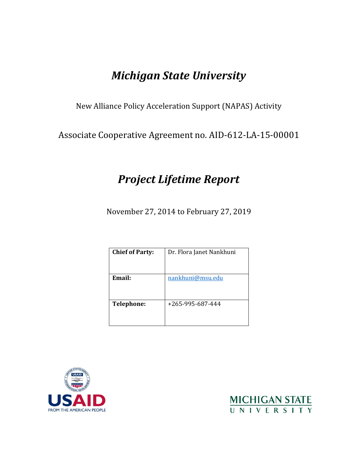# *Michigan State University*

New Alliance Policy Acceleration Support (NAPAS) Activity

Associate Cooperative Agreement no. AID-612-LA-15-00001

# *Project Lifetime Report*

November 27, 2014 to February 27, 2019

| <b>Chief of Party:</b> | Dr. Flora Janet Nankhuni |
|------------------------|--------------------------|
|                        |                          |
| Email:                 | nankhuni@msu.edu         |
|                        |                          |
|                        |                          |
|                        |                          |
| <b>Telephone:</b>      | +265-995-687-444         |
|                        |                          |
|                        |                          |



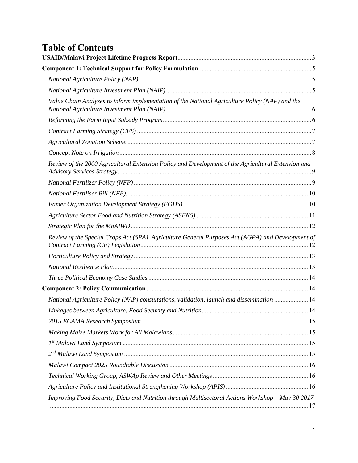# **Table of Contents**

| Value Chain Analyses to inform implementation of the National Agriculture Policy (NAP) and the     |  |
|----------------------------------------------------------------------------------------------------|--|
|                                                                                                    |  |
|                                                                                                    |  |
|                                                                                                    |  |
|                                                                                                    |  |
| Review of the 2000 Agricultural Extension Policy and Development of the Agricultural Extension and |  |
|                                                                                                    |  |
|                                                                                                    |  |
|                                                                                                    |  |
|                                                                                                    |  |
|                                                                                                    |  |
| Review of the Special Crops Act (SPA), Agriculture General Purposes Act (AGPA) and Development of  |  |
|                                                                                                    |  |
|                                                                                                    |  |
|                                                                                                    |  |
|                                                                                                    |  |
| National Agriculture Policy (NAP) consultations, validation, launch and dissemination  14          |  |
|                                                                                                    |  |
|                                                                                                    |  |
|                                                                                                    |  |
|                                                                                                    |  |
|                                                                                                    |  |
|                                                                                                    |  |
|                                                                                                    |  |
|                                                                                                    |  |
| Improving Food Security, Diets and Nutrition through Multisectoral Actions Workshop - May 30 2017  |  |
|                                                                                                    |  |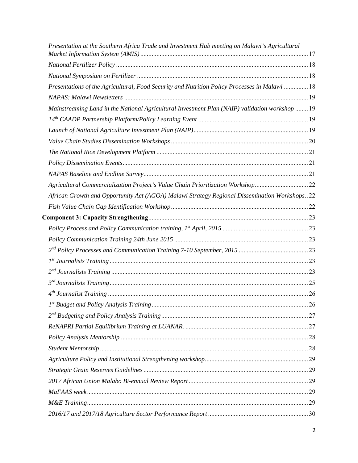| Presentation at the Southern Africa Trade and Investment Hub meeting on Malawi's Agricultural  |  |
|------------------------------------------------------------------------------------------------|--|
|                                                                                                |  |
|                                                                                                |  |
| Presentations of the Agricultural, Food Security and Nutrition Policy Processes in Malawi  18  |  |
|                                                                                                |  |
| Mainstreaming Land in the National Agricultural Investment Plan (NAIP) validation workshop  19 |  |
|                                                                                                |  |
|                                                                                                |  |
|                                                                                                |  |
|                                                                                                |  |
|                                                                                                |  |
|                                                                                                |  |
| Agricultural Commercialization Project's Value Chain Prioritization Workshop22                 |  |
| African Growth and Opportunity Act (AGOA) Malawi Strategy Regional Dissemination Workshops22   |  |
|                                                                                                |  |
|                                                                                                |  |
|                                                                                                |  |
|                                                                                                |  |
|                                                                                                |  |
|                                                                                                |  |
|                                                                                                |  |
|                                                                                                |  |
|                                                                                                |  |
|                                                                                                |  |
|                                                                                                |  |
|                                                                                                |  |
|                                                                                                |  |
|                                                                                                |  |
|                                                                                                |  |
|                                                                                                |  |
|                                                                                                |  |
|                                                                                                |  |
|                                                                                                |  |
|                                                                                                |  |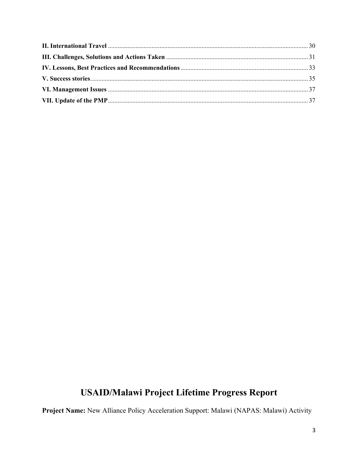# **USAID/Malawi Project Lifetime Progress Report**

Project Name: New Alliance Policy Acceleration Support: Malawi (NAPAS: Malawi) Activity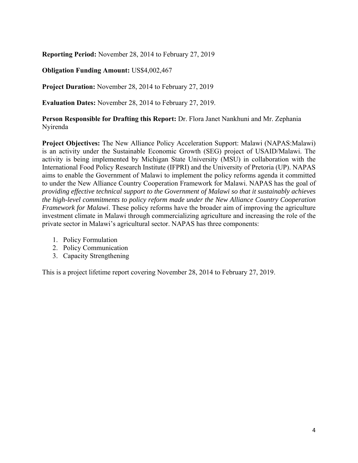**Reporting Period:** November 28, 2014 to February 27, 2019

## **Obligation Funding Amount:** US\$4,002,467

**Project Duration:** November 28, 2014 to February 27, 2019

**Evaluation Dates:** November 28, 2014 to February 27, 2019.

**Person Responsible for Drafting this Report:** Dr. Flora Janet Nankhuni and Mr. Zephania Nyirenda

**Project Objectives:** The New Alliance Policy Acceleration Support: Malawi (NAPAS:Malawi) is an activity under the Sustainable Economic Growth (SEG) project of USAID/Malawi. The activity is being implemented by Michigan State University (MSU) in collaboration with the International Food Policy Research Institute (IFPRI) and the University of Pretoria (UP). NAPAS aims to enable the Government of Malawi to implement the policy reforms agenda it committed to under the New Alliance Country Cooperation Framework for Malawi. NAPAS has the goal of *providing effective technical support to the Government of Malawi so that it sustainably achieves the high-level commitments to policy reform made under the New Alliance Country Cooperation Framework for Malawi*. These policy reforms have the broader aim of improving the agriculture investment climate in Malawi through commercializing agriculture and increasing the role of the private sector in Malawi's agricultural sector. NAPAS has three components:

- 1. Policy Formulation
- 2. Policy Communication
- 3. Capacity Strengthening

This is a project lifetime report covering November 28, 2014 to February 27, 2019.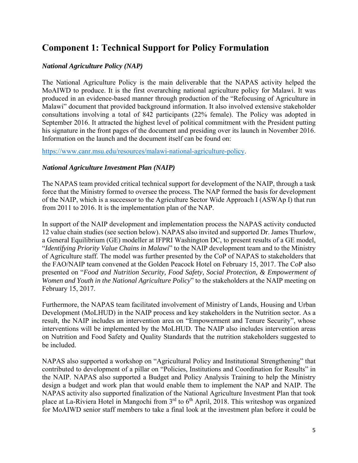# **Component 1: Technical Support for Policy Formulation**

## *National Agriculture Policy (NAP)*

The National Agriculture Policy is the main deliverable that the NAPAS activity helped the MoAIWD to produce. It is the first overarching national agriculture policy for Malawi. It was produced in an evidence-based manner through production of the "Refocusing of Agriculture in Malawi" document that provided background information. It also involved extensive stakeholder consultations involving a total of 842 participants (22% female). The Policy was adopted in September 2016. It attracted the highest level of political commitment with the President putting his signature in the front pages of the document and presiding over its launch in November 2016. Information on the launch and the document itself can be found on:

https://www.canr.msu.edu/resources/malawi-national-agriculture-policy.

## *National Agriculture Investment Plan (NAIP)*

The NAPAS team provided critical technical support for development of the NAIP, through a task force that the Ministry formed to oversee the process. The NAP formed the basis for development of the NAIP, which is a successor to the Agriculture Sector Wide Approach I (ASWAp I) that run from 2011 to 2016. It is the implementation plan of the NAP.

In support of the NAIP development and implementation process the NAPAS activity conducted 12 value chain studies (see section below). NAPAS also invited and supported Dr. James Thurlow, a General Equilibrium (GE) modeller at IFPRI Washington DC, to present results of a GE model, "*Identifying Priority Value Chains in Malawi*" to the NAIP development team and to the Ministry of Agriculture staff. The model was further presented by the CoP of NAPAS to stakeholders that the FAO/NAIP team convened at the Golden Peacock Hotel on February 15, 2017. The CoP also presented on "*Food and Nutrition Security, Food Safety, Social Protection, & Empowerment of Women and Youth in the National Agriculture Policy*" to the stakeholders at the NAIP meeting on February 15, 2017.

Furthermore, the NAPAS team facilitated involvement of Ministry of Lands, Housing and Urban Development (MoLHUD) in the NAIP process and key stakeholders in the Nutrition sector. As a result, the NAIP includes an intervention area on "Empowerment and Tenure Security", whose interventions will be implemented by the MoLHUD. The NAIP also includes intervention areas on Nutrition and Food Safety and Quality Standards that the nutrition stakeholders suggested to be included.

NAPAS also supported a workshop on "Agricultural Policy and Institutional Strengthening" that contributed to development of a pillar on "Policies, Institutions and Coordination for Results" in the NAIP. NAPAS also supported a Budget and Policy Analysis Training to help the Ministry design a budget and work plan that would enable them to implement the NAP and NAIP. The NAPAS activity also supported finalization of the National Agriculture Investment Plan that took place at La-Riviera Hotel in Mangochi from  $3<sup>rd</sup>$  to  $6<sup>th</sup>$  April, 2018. This writeshop was organized for MoAIWD senior staff members to take a final look at the investment plan before it could be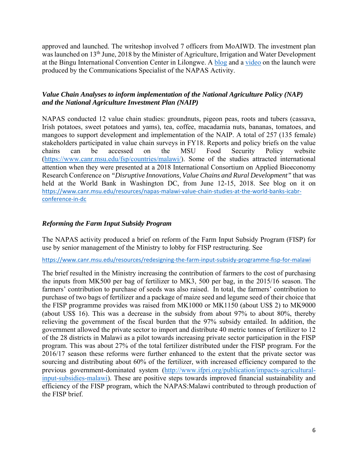approved and launched. The writeshop involved 7 officers from MoAIWD. The investment plan was launched on 13<sup>th</sup> June, 2018 by the Minister of Agriculture, Irrigation and Water Development at the Bingu International Convention Center in Lilongwe. A blog and a video on the launch were produced by the Communications Specialist of the NAPAS Activity.

## *Value Chain Analyses to inform implementation of the National Agriculture Policy (NAP) and the National Agriculture Investment Plan (NAIP)*

NAPAS conducted 12 value chain studies: groundnuts, pigeon peas, roots and tubers (cassava, Irish potatoes, sweet potatoes and yams), tea, coffee, macadamia nuts, bananas, tomatoes, and mangoes to support development and implementation of the NAIP. A total of 257 (135 female) stakeholders participated in value chain surveys in FY18. Reports and policy briefs on the value chains can be accessed on the MSU Food Security Policy website (https://www.canr.msu.edu/fsp/countries/malawi/). Some of the studies attracted international attention when they were presented at a 2018 International Consortium on Applied Bioeconomy Research Conference on *"Disruptive Innovations, Value Chains and Rural Development"* that was held at the World Bank in Washington DC, from June 12-15, 2018. See blog on it on https://www.canr.msu.edu/resources/napas‐malawi‐value‐chain‐studies‐at‐the‐world‐banks‐icabr‐ conference‐in‐dc

## *Reforming the Farm Input Subsidy Program*

The NAPAS activity produced a brief on reform of the Farm Input Subsidy Program (FISP) for use by senior management of the Ministry to lobby for FISP restructuring. See

https://www.canr.msu.edu/resources/redesigning‐the‐farm‐input‐subsidy‐programme‐fisp‐for‐malawi

The brief resulted in the Ministry increasing the contribution of farmers to the cost of purchasing the inputs from MK500 per bag of fertilizer to MK3, 500 per bag, in the 2015/16 season. The farmers' contribution to purchase of seeds was also raised. In total, the farmers' contribution to purchase of two bags of fertilizer and a package of maize seed and legume seed of their choice that the FISP programme provides was raised from MK1000 or MK1150 (about US\$ 2) to MK9000 (about US\$ 16). This was a decrease in the subsidy from about 97% to about 80%, thereby relieving the government of the fiscal burden that the 97% subsidy entailed. In addition, the government allowed the private sector to import and distribute 40 metric tonnes of fertilizer to 12 of the 28 districts in Malawi as a pilot towards increasing private sector participation in the FISP program. This was about 27% of the total fertilizer distributed under the FISP program. For the 2016/17 season these reforms were further enhanced to the extent that the private sector was sourcing and distributing about 60% of the fertilizer, with increased efficiency compared to the previous government-dominated system (http://www.ifpri.org/publication/impacts-agriculturalinput-subsidies-malawi). These are positive steps towards improved financial sustainability and efficiency of the FISP program, which the NAPAS:Malawi contributed to through production of the FISP brief.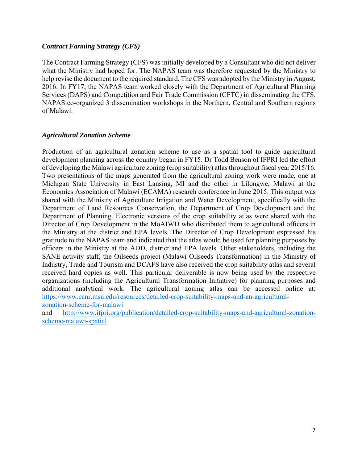## *Contract Farming Strategy (CFS)*

The Contract Farming Strategy (CFS) was initially developed by a Consultant who did not deliver what the Ministry had hoped for. The NAPAS team was therefore requested by the Ministry to help revise the document to the required standard. The CFS was adopted by the Ministry in August, 2016. In FY17, the NAPAS team worked closely with the Department of Agricultural Planning Services (DAPS) and Competition and Fair Trade Commission (CFTC) in disseminating the CFS. NAPAS co-organized 3 dissemination workshops in the Northern, Central and Southern regions of Malawi.

## *Agricultural Zonation Scheme*

Production of an agricultural zonation scheme to use as a spatial tool to guide agricultural development planning across the country began in FY15. Dr Todd Benson of IFPRI led the effort of developing the Malawi agriculture zoning (crop suitability) atlas throughout fiscal year 2015/16. Two presentations of the maps generated from the agricultural zoning work were made, one at Michigan State University in East Lansing, MI and the other in Lilongwe, Malawi at the Economics Association of Malawi (ECAMA) research conference in June 2015. This output was shared with the Ministry of Agriculture Irrigation and Water Development, specifically with the Department of Land Resources Conservation, the Department of Crop Development and the Department of Planning. Electronic versions of the crop suitability atlas were shared with the Director of Crop Development in the MoAIWD who distributed them to agricultural officers in the Ministry at the district and EPA levels. The Director of Crop Development expressed his gratitude to the NAPAS team and indicated that the atlas would be used for planning purposes by officers in the Ministry at the ADD, district and EPA levels. Other stakeholders, including the SANE activity staff, the Oilseeds project (Malawi Oilseeds Transformation) in the Ministry of Industry, Trade and Tourism and DCAFS have also received the crop suitability atlas and several received hard copies as well. This particular deliverable is now being used by the respective organizations (including the Agricultural Transformation Initiative) for planning purposes and additional analytical work. The agricultural zoning atlas can be accessed online at: https://www.canr.msu.edu/resources/detailed-crop-suitability-maps-and-an-agriculturalzonation-scheme-for-malawi

and http://www.ifpri.org/publication/detailed-crop-suitability-maps-and-agricultural-zonationscheme-malawi-spatial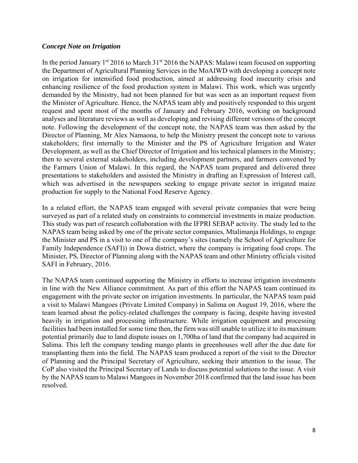#### *Concept Note on Irrigation*

In the period January  $1^{st}$  2016 to March 31 $^{st}$  2016 the NAPAS: Malawi team focused on supporting the Department of Agricultural Planning Services in the MoAIWD with developing a concept note on irrigation for intensified food production, aimed at addressing food insecurity crisis and enhancing resilience of the food production system in Malawi. This work, which was urgently demanded by the Ministry, had not been planned for but was seen as an important request from the Minister of Agriculture. Hence, the NAPAS team ably and positively responded to this urgent request and spent most of the months of January and February 2016, working on background analyses and literature reviews as well as developing and revising different versions of the concept note. Following the development of the concept note, the NAPAS team was then asked by the Director of Planning, Mr Alex Namaona, to help the Ministry present the concept note to various stakeholders; first internally to the Minister and the PS of Agriculture Irrigation and Water Development, as well as the Chief Director of Irrigation and his technical planners in the Ministry; then to several external stakeholders, including development partners, and farmers convened by the Farmers Union of Malawi. In this regard, the NAPAS team prepared and delivered three presentations to stakeholders and assisted the Ministry in drafting an Expression of Interest call, which was advertised in the newspapers seeking to engage private sector in irrigated maize production for supply to the National Food Reserve Agency.

In a related effort, the NAPAS team engaged with several private companies that were being surveyed as part of a related study on constraints to commercial investments in maize production. This study was part of research collaboration with the IFPRI SEBAP activity. The study led to the NAPAS team being asked by one of the private sector companies, Mtalimanja Holdings, to engage the Minister and PS in a visit to one of the company's sites (namely the School of Agriculture for Family Independence (SAFI)) in Dowa district, where the company is irrigating food crops. The Minister, PS, Director of Planning along with the NAPAS team and other Ministry officials visited SAFI in February, 2016.

The NAPAS team continued supporting the Ministry in efforts to increase irrigation investments in line with the New Alliance commitment. As part of this effort the NAPAS team continued its engagement with the private sector on irrigation investments. In particular, the NAPAS team paid a visit to Malawi Mangoes (Private Limited Company) in Salima on August 19, 2016, where the team learned about the policy-related challenges the company is facing, despite having invested heavily in irrigation and processing infrastructure. While irrigation equipment and processing facilities had been installed for some time then, the firm was still unable to utilize it to its maximum potential primarily due to land dispute issues on 1,700ha of land that the company had acquired in Salima. This left the company tending mango plants in greenhouses well after the due date for transplanting them into the field. The NAPAS team produced a report of the visit to the Director of Planning and the Principal Secretary of Agriculture, seeking their attention to the issue. The CoP also visited the Principal Secretary of Lands to discuss potential solutions to the issue. A visit by the NAPAS team to Malawi Mangoes in November 2018 confirmed that the land issue has been resolved.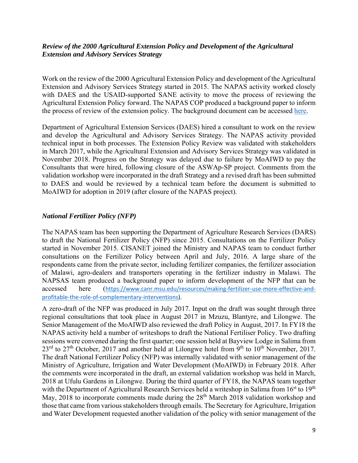## *Review of the 2000 Agricultural Extension Policy and Development of the Agricultural Extension and Advisory Services Strategy*

Work on the review of the 2000 Agricultural Extension Policy and development of the Agricultural Extension and Advisory Services Strategy started in 2015. The NAPAS activity worked closely with DAES and the USAID-supported SANE activity to move the process of reviewing the Agricultural Extension Policy forward. The NAPAS COP produced a background paper to inform the process of review of the extension policy. The background document can be accessed here.

Department of Agricultural Extension Services (DAES) hired a consultant to work on the review and develop the Agricultural and Advisory Services Strategy. The NAPAS activity provided technical input in both processes. The Extension Policy Review was validated with stakeholders in March 2017, while the Agricultural Extension and Advisory Services Strategy was validated in November 2018. Progress on the Strategy was delayed due to failure by MoAIWD to pay the Consultants that were hired, following closure of the ASWAp-SP project. Comments from the validation workshop were incorporated in the draft Strategy and a revised draft has been submitted to DAES and would be reviewed by a technical team before the document is submitted to MoAIWD for adoption in 2019 (after closure of the NAPAS project).

## *National Fertilizer Policy (NFP)*

The NAPAS team has been supporting the Department of Agriculture Research Services (DARS) to draft the National Fertilizer Policy (NFP) since 2015. Consultations on the Fertilizer Policy started in November 2015. CISANET joined the Ministry and NAPAS team to conduct further consultations on the Fertilizer Policy between April and July, 2016. A large share of the respondents came from the private sector, including fertilizer companies, the fertilizer association of Malawi, agro-dealers and transporters operating in the fertilizer industry in Malawi. The NAPSAS team produced a background paper to inform development of the NFP that can be accessed here (https://www.canr.msu.edu/resources/making-fertilizer-use-more-effective-andprofitable-the-role-of-complementary-interventions).

A zero-draft of the NFP was produced in July 2017. Input on the draft was sought through three regional consultations that took place in August 2017 in Mzuzu, Blantyre, and Lilongwe. The Senior Management of the MoAIWD also reviewed the draft Policy in August, 2017. In FY18 the NAPAS activity held a number of writeshops to draft the National Fertiliser Policy. Two drafting sessions were convened during the first quarter; one session held at Bayview Lodge in Salima from  $23^{\text{rd}}$  to  $27^{\text{th}}$  October, 2017 and another held at Lilongwe hotel from 9<sup>th</sup> to 10<sup>th</sup> November, 2017. The draft National Fertilizer Policy (NFP) was internally validated with senior management of the Ministry of Agriculture, Irrigation and Water Development (MoAIWD) in February 2018. After the comments were incorporated in the draft, an external validation workshop was held in March, 2018 at Ufulu Gardens in Lilongwe. During the third quarter of FY18, the NAPAS team together with the Department of Agricultural Research Services held a writeshop in Salima from 16<sup>st</sup> to 19<sup>th</sup> May, 2018 to incorporate comments made during the 28<sup>th</sup> March 2018 validation workshop and those that came from various stakeholders through emails. The Secretary for Agriculture, Irrigation and Water Development requested another validation of the policy with senior management of the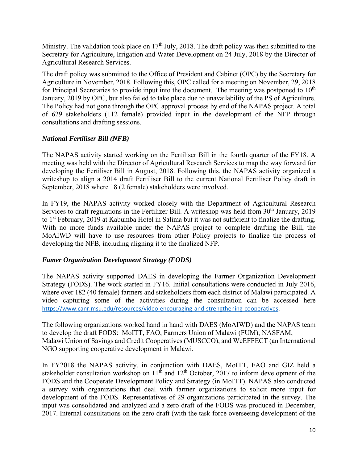Ministry. The validation took place on  $17<sup>th</sup>$  July, 2018. The draft policy was then submitted to the Secretary for Agriculture, Irrigation and Water Development on 24 July, 2018 by the Director of Agricultural Research Services.

The draft policy was submitted to the Office of President and Cabinet (OPC) by the Secretary for Agriculture in November, 2018. Following this, OPC called for a meeting on November, 29, 2018 for Principal Secretaries to provide input into the document. The meeting was postponed to  $10<sup>th</sup>$ January, 2019 by OPC, but also failed to take place due to unavailability of the PS of Agriculture. The Policy had not gone through the OPC approval process by end of the NAPAS project. A total of 629 stakeholders (112 female) provided input in the development of the NFP through consultations and drafting sessions.

## *National Fertiliser Bill (NFB)*

The NAPAS activity started working on the Fertiliser Bill in the fourth quarter of the FY18. A meeting was held with the Director of Agricultural Research Services to map the way forward for developing the Fertiliser Bill in August, 2018. Following this, the NAPAS activity organized a writeshop to align a 2014 draft Fertiliser Bill to the current National Fertiliser Policy draft in September, 2018 where 18 (2 female) stakeholders were involved.

In FY19, the NAPAS activity worked closely with the Department of Agricultural Research Services to draft regulations in the Fertilizer Bill. A writeshop was held from 30<sup>th</sup> January, 2019 to 1<sup>st</sup> February, 2019 at Kabumba Hotel in Salima but it was not sufficient to finalize the drafting. With no more funds available under the NAPAS project to complete drafting the Bill, the MoAIWD will have to use resources from other Policy projects to finalize the process of developing the NFB, including aligning it to the finalized NFP.

## *Famer Organization Development Strategy (FODS)*

The NAPAS activity supported DAES in developing the Farmer Organization Development Strategy (FODS). The work started in FY16. Initial consultations were conducted in July 2016, where over 182 (40 female) farmers and stakeholders from each district of Malawi participated. A video capturing some of the activities during the consultation can be accessed here https://www.canr.msu.edu/resources/video‐encouraging‐and‐strengthening‐cooperatives.

The following organizations worked hand in hand with DAES (MoAIWD) and the NAPAS team to develop the draft FODS: MoITT, FAO, Farmers Union of Malawi (FUM), NASFAM, Malawi Union of Savings and Credit Cooperatives (MUSCCO), and WeEFFECT (an International NGO supporting cooperative development in Malawi.

In FY2018 the NAPAS activity, in conjunction with DAES, MoITT, FAO and GIZ held a stakeholder consultation workshop on  $11<sup>th</sup>$  and  $12<sup>th</sup>$  October, 2017 to inform development of the FODS and the Cooperate Development Policy and Strategy (in MoITT). NAPAS also conducted a survey with organizations that deal with farmer organizations to solicit more input for development of the FODS. Representatives of 29 organizations participated in the survey. The input was consolidated and analyzed and a zero draft of the FODS was produced in December, 2017. Internal consultations on the zero draft (with the task force overseeing development of the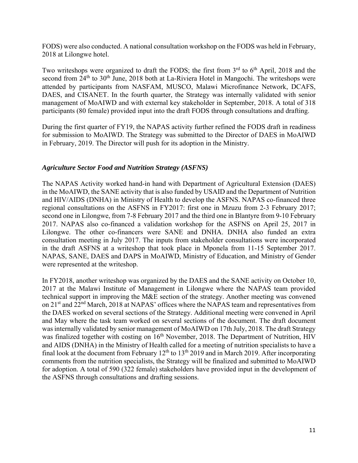FODS) were also conducted. A national consultation workshop on the FODS was held in February, 2018 at Lilongwe hotel.

Two writeshops were organized to draft the FODS; the first from  $3<sup>rd</sup>$  to  $6<sup>th</sup>$  April, 2018 and the second from  $24<sup>th</sup>$  to  $30<sup>th</sup>$  June, 2018 both at La-Riviera Hotel in Mangochi. The writeshops were attended by participants from NASFAM, MUSCO, Malawi Microfinance Network, DCAFS, DAES, and CISANET. In the fourth quarter, the Strategy was internally validated with senior management of MoAIWD and with external key stakeholder in September, 2018. A total of 318 participants (80 female) provided input into the draft FODS through consultations and drafting.

During the first quarter of FY19, the NAPAS activity further refined the FODS draft in readiness for submission to MoAIWD. The Strategy was submitted to the Director of DAES in MoAIWD in February, 2019. The Director will push for its adoption in the Ministry.

## *Agriculture Sector Food and Nutrition Strategy (ASFNS)*

The NAPAS Activity worked hand-in hand with Department of Agricultural Extension (DAES) in the MoAIWD, the SANE activity that is also funded by USAID and the Department of Nutrition and HIV/AIDS (DNHA) in Ministry of Health to develop the ASFNS. NAPAS co-financed three regional consultations on the ASFNS in FY2017: first one in Mzuzu from 2-3 February 2017; second one in Lilongwe, from 7-8 February 2017 and the third one in Blantyre from 9-10 February 2017. NAPAS also co-financed a validation workshop for the ASFNS on April 25, 2017 in Lilongwe. The other co-financers were SANE and DNHA. DNHA also funded an extra consultation meeting in July 2017. The inputs from stakeholder consultations were incorporated in the draft ASFNS at a writeshop that took place in Mponela from 11-15 September 2017. NAPAS, SANE, DAES and DAPS in MoAIWD, Ministry of Education, and Ministry of Gender were represented at the writeshop.

In FY2018, another writeshop was organized by the DAES and the SANE activity on October 10, 2017 at the Malawi Institute of Management in Lilongwe where the NAPAS team provided technical support in improving the M&E section of the strategy. Another meeting was convened on 21st and 22nd March, 2018 at NAPAS' offices where the NAPAS team and representatives from the DAES worked on several sections of the Strategy. Additional meeting were convened in April and May where the task team worked on several sections of the document. The draft document was internally validated by senior management of MoAIWD on 17th July, 2018. The draft Strategy was finalized together with costing on 16<sup>th</sup> November, 2018. The Department of Nutrition, HIV and AIDS (DNHA) in the Ministry of Health called for a meeting of nutrition specialists to have a final look at the document from February  $12<sup>th</sup>$  to  $13<sup>th</sup>$  2019 and in March 2019. After incorporating comments from the nutrition specialists, the Strategy will be finalized and submitted to MoAIWD for adoption. A total of 590 (322 female) stakeholders have provided input in the development of the ASFNS through consultations and drafting sessions.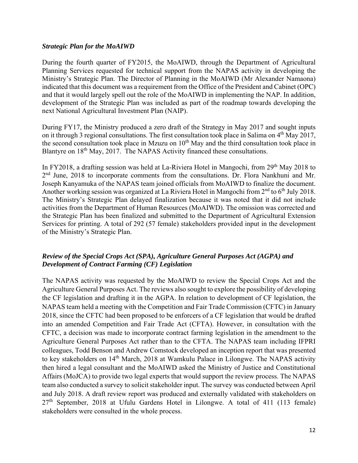#### *Strategic Plan for the MoAIWD*

During the fourth quarter of FY2015, the MoAIWD, through the Department of Agricultural Planning Services requested for technical support from the NAPAS activity in developing the Ministry's Strategic Plan. The Director of Planning in the MoAIWD (Mr Alexander Namaona) indicated that this document was a requirement from the Office of the President and Cabinet (OPC) and that it would largely spell out the role of the MoAIWD in implementing the NAP. In addition, development of the Strategic Plan was included as part of the roadmap towards developing the next National Agricultural Investment Plan (NAIP).

During FY17, the Ministry produced a zero draft of the Strategy in May 2017 and sought inputs on it through 3 regional consultations. The first consultation took place in Salima on 4<sup>th</sup> May 2017, the second consultation took place in Mzuzu on  $10<sup>th</sup>$  May and the third consultation took place in Blantyre on 18<sup>th</sup> May, 2017. The NAPAS Activity financed these consultations.

In FY2018, a drafting session was held at La-Riviera Hotel in Mangochi, from 29<sup>th</sup> May 2018 to 2<sup>nd</sup> June, 2018 to incorporate comments from the consultations. Dr. Flora Nankhuni and Mr. Joseph Kanyamuka of the NAPAS team joined officials from MoAIWD to finalize the document. Another working session was organized at La Riviera Hotel in Mangochi from 2<sup>nd</sup> to 6<sup>th</sup> July 2018. The Ministry's Strategic Plan delayed finalization because it was noted that it did not include activities from the Department of Human Resources (MoAIWD). The omission was corrected and the Strategic Plan has been finalized and submitted to the Department of Agricultural Extension Services for printing. A total of 292 (57 female) stakeholders provided input in the development of the Ministry's Strategic Plan.

## *Review of the Special Crops Act (SPA), Agriculture General Purposes Act (AGPA) and Development of Contract Farming (CF) Legislation*

The NAPAS activity was requested by the MoAIWD to review the Special Crops Act and the Agriculture General Purposes Act. The reviews also sought to explore the possibility of developing the CF legislation and drafting it in the AGPA. In relation to development of CF legislation, the NAPAS team held a meeting with the Competition and Fair Trade Commission (CFTC) in January 2018, since the CFTC had been proposed to be enforcers of a CF legislation that would be drafted into an amended Competition and Fair Trade Act (CFTA). However, in consultation with the CFTC, a decision was made to incorporate contract farming legislation in the amendment to the Agriculture General Purposes Act rather than to the CFTA. The NAPAS team including IFPRI colleagues, Todd Benson and Andrew Comstock developed an inception report that was presented to key stakeholders on 14<sup>th</sup> March, 2018 at Wamkulu Palace in Lilongwe. The NAPAS activity then hired a legal consultant and the MoAIWD asked the Ministry of Justice and Constitutional Affairs (MoJCA) to provide two legal experts that would support the review process. The NAPAS team also conducted a survey to solicit stakeholder input. The survey was conducted between April and July 2018. A draft review report was produced and externally validated with stakeholders on  $27<sup>th</sup>$  September, 2018 at Ufulu Gardens Hotel in Lilongwe. A total of 411 (113 female) stakeholders were consulted in the whole process.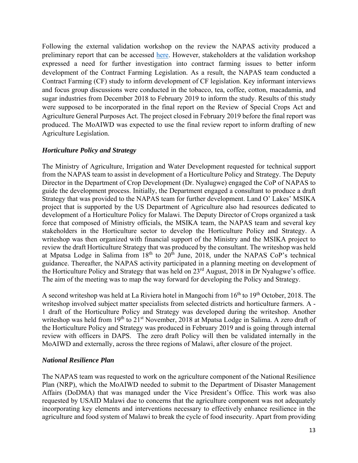Following the external validation workshop on the review the NAPAS activity produced a preliminary report that can be accessed here. However, stakeholders at the validation workshop expressed a need for further investigation into contract farming issues to better inform development of the Contract Farming Legislation. As a result, the NAPAS team conducted a Contract Farming (CF) study to inform development of CF legislation. Key informant interviews and focus group discussions were conducted in the tobacco, tea, coffee, cotton, macadamia, and sugar industries from December 2018 to February 2019 to inform the study. Results of this study were supposed to be incorporated in the final report on the Review of Special Crops Act and Agriculture General Purposes Act. The project closed in February 2019 before the final report was produced. The MoAIWD was expected to use the final review report to inform drafting of new Agriculture Legislation.

## *Horticulture Policy and Strategy*

The Ministry of Agriculture, Irrigation and Water Development requested for technical support from the NAPAS team to assist in development of a Horticulture Policy and Strategy. The Deputy Director in the Department of Crop Development (Dr. Nyalugwe) engaged the CoP of NAPAS to guide the development process. Initially, the Department engaged a consultant to produce a draft Strategy that was provided to the NAPAS team for further development. Land O' Lakes' MSIKA project that is supported by the US Department of Agriculture also had resources dedicated to development of a Horticulture Policy for Malawi. The Deputy Director of Crops organized a task force that composed of Ministry officials, the MSIKA team, the NAPAS team and several key stakeholders in the Horticulture sector to develop the Horticulture Policy and Strategy. A writeshop was then organized with financial support of the Ministry and the MSIKA project to review the draft Horticulture Strategy that was produced by the consultant. The writeshop was held at Mpatsa Lodge in Salima from  $18<sup>th</sup>$  to  $20<sup>th</sup>$  June, 2018, under the NAPAS CoP's technical guidance. Thereafter, the NAPAS activity participated in a planning meeting on development of the Horticulture Policy and Strategy that was held on 23rd August, 2018 in Dr Nyalugwe's office. The aim of the meeting was to map the way forward for developing the Policy and Strategy.

A second writeshop was held at La Riviera hotel in Mangochi from 16<sup>th</sup> to 19<sup>th</sup> October, 2018. The writeshop involved subject matter specialists from selected districts and horticulture farmers. A - 1 draft of the Horticulture Policy and Strategy was developed during the writeshop. Another writeshop was held from 19<sup>th</sup> to 21<sup>st</sup> November, 2018 at Mpatsa Lodge in Salima. A zero draft of the Horticulture Policy and Strategy was produced in February 2019 and is going through internal review with officers in DAPS. The zero draft Policy will then be validated internally in the MoAIWD and externally, across the three regions of Malawi, after closure of the project.

#### *National Resilience Plan*

The NAPAS team was requested to work on the agriculture component of the National Resilience Plan (NRP), which the MoAIWD needed to submit to the Department of Disaster Management Affairs (DoDMA) that was managed under the Vice President's Office. This work was also requested by USAID Malawi due to concerns that the agriculture component was not adequately incorporating key elements and interventions necessary to effectively enhance resilience in the agriculture and food system of Malawi to break the cycle of food insecurity. Apart from providing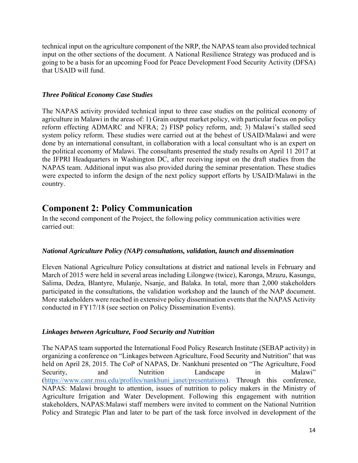technical input on the agriculture component of the NRP, the NAPAS team also provided technical input on the other sections of the document. A National Resilience Strategy was produced and is going to be a basis for an upcoming Food for Peace Development Food Security Activity (DFSA) that USAID will fund.

## *Three Political Economy Case Studies*

The NAPAS activity provided technical input to three case studies on the political economy of agriculture in Malawi in the areas of: 1) Grain output market policy, with particular focus on policy reform effecting ADMARC and NFRA; 2) FISP policy reform, and; 3) Malawi's stalled seed system policy reform. These studies were carried out at the behest of USAID/Malawi and were done by an international consultant, in collaboration with a local consultant who is an expert on the political economy of Malawi. The consultants presented the study results on April 11 2017 at the IFPRI Headquarters in Washington DC, after receiving input on the draft studies from the NAPAS team. Additional input was also provided during the seminar presentation. These studies were expected to inform the design of the next policy support efforts by USAID/Malawi in the country.

## **Component 2: Policy Communication**

In the second component of the Project, the following policy communication activities were carried out:

## *National Agriculture Policy (NAP) consultations, validation, launch and dissemination*

Eleven National Agriculture Policy consultations at district and national levels in February and March of 2015 were held in several areas including Lilongwe (twice), Karonga, Mzuzu, Kasungu, Salima, Dedza, Blantyre, Mulanje, Nsanje, and Balaka. In total, more than 2,000 stakeholders participated in the consultations, the validation workshop and the launch of the NAP document. More stakeholders were reached in extensive policy dissemination events that the NAPAS Activity conducted in FY17/18 (see section on Policy Dissemination Events).

#### *Linkages between Agriculture, Food Security and Nutrition*

The NAPAS team supported the International Food Policy Research Institute (SEBAP activity) in organizing a conference on "Linkages between Agriculture, Food Security and Nutrition" that was held on April 28, 2015. The CoP of NAPAS, Dr. Nankhuni presented on "The Agriculture, Food Security, and Nutrition Landscape in Malawi" (https://www.canr.msu.edu/profiles/nankhuni\_janet/presentations). Through this conference, NAPAS: Malawi brought to attention, issues of nutrition to policy makers in the Ministry of Agriculture Irrigation and Water Development. Following this engagement with nutrition stakeholders, NAPAS:Malawi staff members were invited to comment on the National Nutrition Policy and Strategic Plan and later to be part of the task force involved in development of the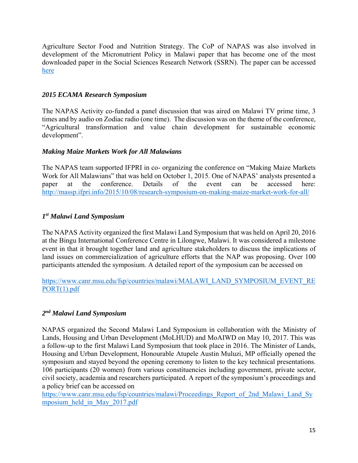Agriculture Sector Food and Nutrition Strategy. The CoP of NAPAS was also involved in development of the Micronutrient Policy in Malawi paper that has become one of the most downloaded paper in the Social Sciences Research Network (SSRN). The paper can be accessed here

## *2015 ECAMA Research Symposium*

The NAPAS Activity co-funded a panel discussion that was aired on Malawi TV prime time, 3 times and by audio on Zodiac radio (one time). The discussion was on the theme of the conference, "Agricultural transformation and value chain development for sustainable economic development".

## *Making Maize Markets Work for All Malawians*

The NAPAS team supported IFPRI in co- organizing the conference on "Making Maize Markets Work for All Malawians" that was held on October 1, 2015. One of NAPAS' analysts presented a paper at the conference. Details of the event can be accessed here: http://massp.ifpri.info/2015/10/08/research-symposium-on-making-maize-market-work-for-all/

## *1st Malawi Land Symposium*

The NAPAS Activity organized the first Malawi Land Symposium that was held on April 20, 2016 at the Bingu International Conference Centre in Lilongwe, Malawi. It was considered a milestone event in that it brought together land and agriculture stakeholders to discuss the implications of land issues on commercialization of agriculture efforts that the NAP was proposing. Over 100 participants attended the symposium. A detailed report of the symposium can be accessed on

https://www.canr.msu.edu/fsp/countries/malawi/MALAWI\_LAND\_SYMPOSIUM\_EVENT\_RE PORT(1).pdf

## *2nd Malawi Land Symposium*

NAPAS organized the Second Malawi Land Symposium in collaboration with the Ministry of Lands, Housing and Urban Development (MoLHUD) and MoAIWD on May 10, 2017. This was a follow-up to the first Malawi Land Symposium that took place in 2016. The Minister of Lands, Housing and Urban Development, Honourable Atupele Austin Muluzi, MP officially opened the symposium and stayed beyond the opening ceremony to listen to the key technical presentations. 106 participants (20 women) from various constituencies including government, private sector, civil society, academia and researchers participated. A report of the symposium's proceedings and a policy brief can be accessed on

https://www.canr.msu.edu/fsp/countries/malawi/Proceedings\_Report\_of\_2nd\_Malawi\_Land\_Sy mposium\_held\_in\_May\_2017.pdf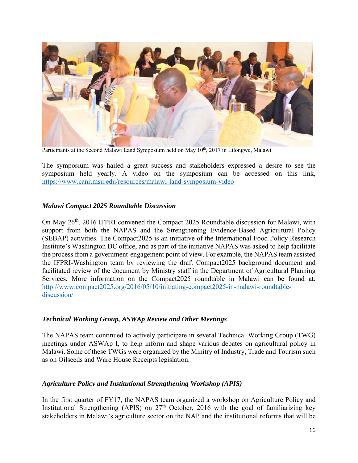

Participants at the Second Malawi Land Symposium held on May 10<sup>th</sup>, 2017 in Lilongwe, Malawi

The symposium was hailed a great success and stakeholders expressed a desire to see the symposium held yearly. A video on the symposium can be accessed on this link, https://www.canr.msu.edu/resources/malawi-land-symposium-video

## *Malawi Compact 2025 Roundtable Discussion*

On May 26th, 2016 IFPRI convened the Compact 2025 Roundtable discussion for Malawi, with support from both the NAPAS and the Strengthening Evidence-Based Agricultural Policy (SEBAP) activities. The Compact2025 is an initiative of the International Food Policy Research Institute's Washington DC office, and as part of the initiative NAPAS was asked to help facilitate the process from a government-engagement point of view. For example, the NAPAS team assisted the IFPRI-Washington team by reviewing the draft Compact2025 background document and facilitated review of the document by Ministry staff in the Department of Agricultural Planning Services. More information on the Compact2025 roundtable in Malawi can be found at: http://www.compact2025.org/2016/05/10/initiating-compact2025-in-malawi-roundtablediscussion/

## *Technical Working Group, ASWAp Review and Other Meetings*

The NAPAS team continued to actively participate in several Technical Working Group (TWG) meetings under ASWAp I, to help inform and shape various debates on agricultural policy in Malawi. Some of these TWGs were organized by the Minitry of Industry, Trade and Tourism such as on Oilseeds and Ware House Receipts legislation.

## *Agriculture Policy and Institutional Strengthening Workshop (APIS)*

In the first quarter of FY17, the NAPAS team organized a workshop on Agriculture Policy and Institutional Strengthening (APIS) on  $27<sup>th</sup>$  October, 2016 with the goal of familiarizing key stakeholders in Malawi's agriculture sector on the NAP and the institutional reforms that will be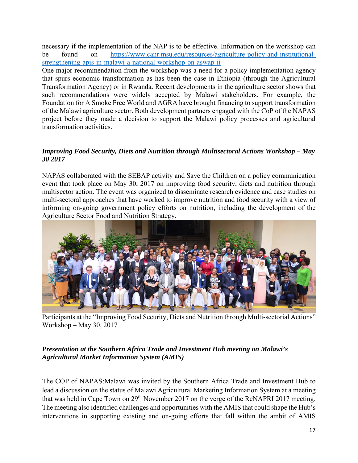necessary if the implementation of the NAP is to be effective. Information on the workshop can be found on https://www.canr.msu.edu/resources/agriculture-policy-and-institutionalstrengthening-apis-in-malawi-a-national-workshop-on-aswap-ii

One major recommendation from the workshop was a need for a policy implementation agency that spurs economic transformation as has been the case in Ethiopia (through the Agricultural Transformation Agency) or in Rwanda. Recent developments in the agriculture sector shows that such recommendations were widely accepted by Malawi stakeholders. For example, the Foundation for A Smoke Free World and AGRA have brought financing to support transformation of the Malawi agriculture sector. Both development partners engaged with the CoP of the NAPAS project before they made a decision to support the Malawi policy processes and agricultural transformation activities.

## *Improving Food Security, Diets and Nutrition through Multisectoral Actions Workshop – May 30 2017*

NAPAS collaborated with the SEBAP activity and Save the Children on a policy communication event that took place on May 30, 2017 on improving food security, diets and nutrition through multisector action. The event was organized to disseminate research evidence and case studies on multi-sectoral approaches that have worked to improve nutrition and food security with a view of informing on-going government policy efforts on nutrition, including the development of the Agriculture Sector Food and Nutrition Strategy.



Participants at the "Improving Food Security, Diets and Nutrition through Multi-sectorial Actions" Workshop – May 30, 2017

## *Presentation at the Southern Africa Trade and Investment Hub meeting on Malawi's Agricultural Market Information System (AMIS)*

The COP of NAPAS:Malawi was invited by the Southern Africa Trade and Investment Hub to lead a discussion on the status of Malawi Agricultural Marketing Information System at a meeting that was held in Cape Town on 29<sup>th</sup> November 2017 on the verge of the ReNAPRI 2017 meeting. The meeting also identified challenges and opportunities with the AMIS that could shape the Hub's interventions in supporting existing and on-going efforts that fall within the ambit of AMIS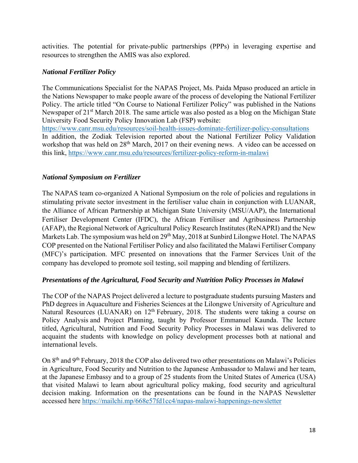activities. The potential for private-public partnerships (PPPs) in leveraging expertise and resources to strengthen the AMIS was also explored.

## *National Fertilizer Policy*

The Communications Specialist for the NAPAS Project, Ms. Paida Mpaso produced an article in the Nations Newspaper to make people aware of the process of developing the National Fertilizer Policy. The article titled "On Course to National Fertilizer Policy" was published in the Nations Newspaper of 21<sup>st</sup> March 2018. The same article was also posted as a blog on the Michigan State University Food Security Policy Innovation Lab (FSP) website: https://www.canr.msu.edu/resources/soil-health-issues-dominate-fertilizer-policy-consultations

In addition, the Zodiak Television reported about the National Fertilizer Policy Validation workshop that was held on 28<sup>th</sup> March, 2017 on their evening news. A video can be accessed on this link, https://www.canr.msu.edu/resources/fertilizer-policy-reform-in-malawi

## *National Symposium on Fertilizer*

The NAPAS team co-organized A National Symposium on the role of policies and regulations in stimulating private sector investment in the fertiliser value chain in conjunction with LUANAR, the Alliance of African Partnership at Michigan State University (MSU/AAP), the International Fertiliser Development Center (IFDC), the African Fertiliser and Agribusiness Partnership (AFAP), the Regional Network of Agricultural Policy Research Institutes (ReNAPRI) and the New Markets Lab. The symposium was held on 29<sup>th</sup> May, 2018 at Sunbird Lilongwe Hotel. The NAPAS COP presented on the National Fertiliser Policy and also facilitated the Malawi Fertiliser Company (MFC)'s participation. MFC presented on innovations that the Farmer Services Unit of the company has developed to promote soil testing, soil mapping and blending of fertilizers.

## *Presentations of the Agricultural, Food Security and Nutrition Policy Processes in Malawi*

The COP of the NAPAS Project delivered a lecture to postgraduate students pursuing Masters and PhD degrees in Aquaculture and Fisheries Sciences at the Lilongwe University of Agriculture and Natural Resources (LUANAR) on 12<sup>th</sup> February, 2018. The students were taking a course on Policy Analysis and Project Planning, taught by Professor Emmanuel Kaunda. The lecture titled, Agricultural, Nutrition and Food Security Policy Processes in Malawi was delivered to acquaint the students with knowledge on policy development processes both at national and international levels.

On 8<sup>th</sup> and 9<sup>th</sup> February, 2018 the COP also delivered two other presentations on Malawi's Policies in Agriculture, Food Security and Nutrition to the Japanese Ambassador to Malawi and her team, at the Japanese Embassy and to a group of 25 students from the United States of America (USA) that visited Malawi to learn about agricultural policy making, food security and agricultural decision making. Information on the presentations can be found in the NAPAS Newsletter accessed here https://mailchi.mp/668e57fd1cc4/napas-malawi-happenings-newsletter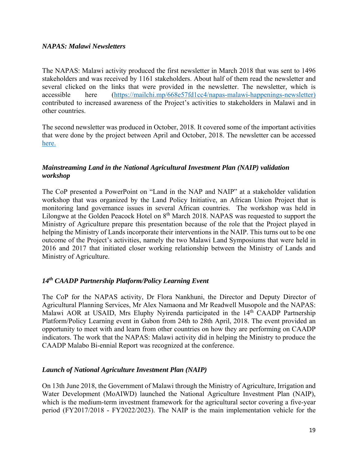#### *NAPAS: Malawi Newsletters*

The NAPAS: Malawi activity produced the first newsletter in March 2018 that was sent to 1496 stakeholders and was received by 1161 stakeholders. About half of them read the newsletter and several clicked on the links that were provided in the newsletter. The newsletter, which is accessible here (https://mailchi.mp/668e57fd1cc4/napas-malawi-happenings-newsletter) contributed to increased awareness of the Project's activities to stakeholders in Malawi and in other countries.

The second newsletter was produced in October, 2018. It covered some of the important activities that were done by the project between April and October, 2018. The newsletter can be accessed here.

## *Mainstreaming Land in the National Agricultural Investment Plan (NAIP) validation workshop*

The CoP presented a PowerPoint on "Land in the NAP and NAIP" at a stakeholder validation workshop that was organized by the Land Policy Initiative, an African Union Project that is monitoring land governance issues in several African countries. The workshop was held in Lilongwe at the Golden Peacock Hotel on 8<sup>th</sup> March 2018. NAPAS was requested to support the Ministry of Agriculture prepare this presentation because of the role that the Project played in helping the Ministry of Lands incorporate their interventions in the NAIP. This turns out to be one outcome of the Project's activities, namely the two Malawi Land Symposiums that were held in 2016 and 2017 that initiated closer working relationship between the Ministry of Lands and Ministry of Agriculture.

## *14th CAADP Partnership Platform/Policy Learning Event*

The CoP for the NAPAS activity, Dr Flora Nankhuni, the Director and Deputy Director of Agricultural Planning Services, Mr Alex Namaona and Mr Readwell Musopole and the NAPAS: Malawi AOR at USAID, Mrs Eluphy Nyirenda participated in the 14<sup>th</sup> CAADP Partnership Platform/Policy Learning event in Gabon from 24th to 28th April, 2018. The event provided an opportunity to meet with and learn from other countries on how they are performing on CAADP indicators. The work that the NAPAS: Malawi activity did in helping the Ministry to produce the CAADP Malabo Bi-ennial Report was recognized at the conference.

## *Launch of National Agriculture Investment Plan (NAIP)*

On 13th June 2018, the Government of Malawi through the Ministry of Agriculture, Irrigation and Water Development (MoAIWD) launched the National Agriculture Investment Plan (NAIP), which is the medium-term investment framework for the agricultural sector covering a five-year period (FY2017/2018 - FY2022/2023). The NAIP is the main implementation vehicle for the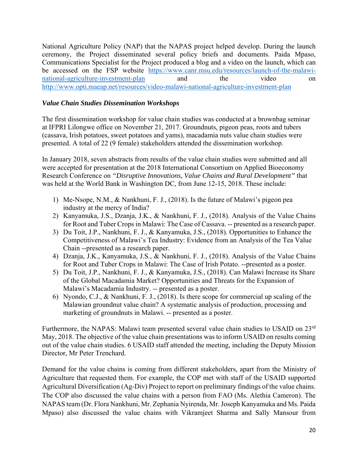National Agriculture Policy (NAP) that the NAPAS project helped develop. During the launch ceremony, the Project disseminated several policy briefs and documents. Paida Mpaso, Communications Specialist for the Project produced a blog and a video on the launch, which can be accessed on the FSP website https://www.canr.msu.edu/resources/launch-of-the-malawinational-agriculture-investment-plan and the video on http://www.opti.maeap.net/resources/video-malawi-national-agriculture-investment-plan

## *Value Chain Studies Dissemination Workshops*

The first dissemination workshop for value chain studies was conducted at a brownbag seminar at IFPRI Lilongwe office on November 21, 2017. Groundnuts, pigeon peas, roots and tubers (cassava, Irish potatoes, sweet potatoes and yams), macadamia nuts value chain studies were presented. A total of 22 (9 female) stakeholders attended the dissemination workshop.

In January 2018, seven abstracts from results of the value chain studies were submitted and all were accepted for presentation at the 2018 International Consortium on Applied Bioeconomy Research Conference on *"Disruptive Innovations, Value Chains and Rural Development"* that was held at the World Bank in Washington DC, from June 12-15, 2018. These include:

- 1) Me-Nsope, N.M., & Nankhuni, F. J., (2018). Is the future of Malawi's pigeon pea industry at the mercy of India?
- 2) Kanyamuka, J.S., Dzanja, J.K., & Nankhuni, F. J., (2018). Analysis of the Value Chains for Root and Tuber Crops in Malawi: The Case of Cassava. -- presented as a research paper.
- 3) Du Toit, J.P., Nankhuni, F. J., & Kanyamuka, J.S., (2018). Opportunities to Enhance the Competitiveness of Malawi's Tea Industry: Evidence from an Analysis of the Tea Value Chain --presented as a research paper.
- 4) Dzanja, J.K., Kanyamuka, J.S., & Nankhuni, F. J., (2018). Analysis of the Value Chains for Root and Tuber Crops in Malawi: The Case of Irish Potato. --presented as a poster.
- 5) Du Toit, J.P., Nankhuni, F. J., & Kanyamuka, J.S., (2018). Can Malawi Increase its Share of the Global Macadamia Market? Opportunities and Threats for the Expansion of Malawi's Macadamia Industry. -- presented as a poster.
- 6) Nyondo, C.J., & Nankhuni, F. J., (2018). Is there scope for commercial up scaling of the Malawian groundnut value chain? A systematic analysis of production, processing and marketing of groundnuts in Malawi. -- presented as a poster.

Furthermore, the NAPAS: Malawi team presented several value chain studies to USAID on 23rd May, 2018. The objective of the value chain presentations was to inform USAID on results coming out of the value chain studies. 6 USAID staff attended the meeting, including the Deputy Mission Director, Mr Peter Trenchard.

Demand for the value chains is coming from different stakeholders, apart from the Ministry of Agriculture that requested them. For example, the COP met with staff of the USAID supported Agricultural Diversification (Ag-Div) Project to report on preliminary findings of the value chains. The COP also discussed the value chains with a person from FAO (Ms. Alethia Cameron). The NAPAS team (Dr. Flora Nankhuni, Mr. Zephania Nyirenda, Mr. Joseph Kanyamuka and Ms. Paida Mpaso) also discussed the value chains with Vikramjeet Sharma and Sally Mansour from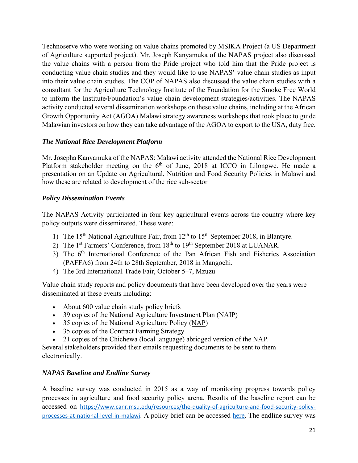Technoserve who were working on value chains promoted by MSIKA Project (a US Department of Agriculture supported project). Mr. Joseph Kanyamuka of the NAPAS project also discussed the value chains with a person from the Pride project who told him that the Pride project is conducting value chain studies and they would like to use NAPAS' value chain studies as input into their value chain studies. The COP of NAPAS also discussed the value chain studies with a consultant for the Agriculture Technology Institute of the Foundation for the Smoke Free World to inform the Institute/Foundation's value chain development strategies/activities. The NAPAS activity conducted several dissemination workshops on these value chains, including at the African Growth Opportunity Act (AGOA) Malawi strategy awareness workshops that took place to guide Malawian investors on how they can take advantage of the AGOA to export to the USA, duty free.

## *The National Rice Development Platform*

Mr. Josepha Kanyamuka of the NAPAS: Malawi activity attended the National Rice Development Platform stakeholder meeting on the  $6<sup>th</sup>$  of June, 2018 at ICCO in Lilongwe. He made a presentation on an Update on Agricultural, Nutrition and Food Security Policies in Malawi and how these are related to development of the rice sub-sector

## *Policy Dissemination Events*

The NAPAS Activity participated in four key agricultural events across the country where key policy outputs were disseminated. These were:

- 1) The 15<sup>th</sup> National Agriculture Fair, from  $12<sup>th</sup>$  to  $15<sup>th</sup>$  September 2018, in Blantyre.
- 2) The  $1<sup>st</sup> Farmers' Conference, from 18<sup>th</sup> to 19<sup>th</sup> September 2018 at LUANAR.$
- 3) The 6<sup>th</sup> International Conference of the Pan African Fish and Fisheries Association (PAFFA6) from 24th to 28th September, 2018 in Mangochi.
- 4) The 3rd International Trade Fair, October 5–7, Mzuzu

Value chain study reports and policy documents that have been developed over the years were disseminated at these events including:

- About 600 value chain study policy briefs
- 39 copies of the National Agriculture Investment Plan (NAIP)
- 35 copies of the National Agriculture Policy (NAP)
- 35 copies of the Contract Farming Strategy
- 21 copies of the Chichewa (local language) abridged version of the NAP.

Several stakeholders provided their emails requesting documents to be sent to them electronically.

## *NAPAS Baseline and Endline Survey*

A baseline survey was conducted in 2015 as a way of monitoring progress towards policy processes in agriculture and food security policy arena. Results of the baseline report can be accessed on https://www.canr.msu.edu/resources/the-quality-of-agriculture-and-food-security-policyprocesses-at-national-level-in-malawi. A policy brief can be accessed here. The endline survey was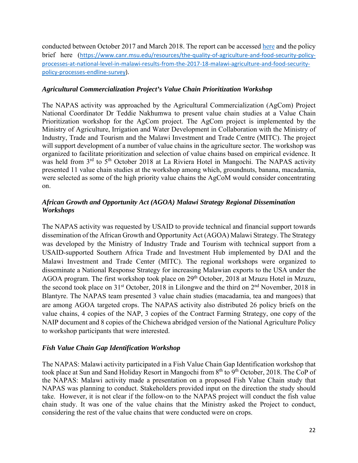conducted between October 2017 and March 2018. The report can be accessed here and the policy brief here (https://www.canr.msu.edu/resources/the-quality-of-agriculture-and-food-security-policyprocesses-at-national-level-in-malawi-results-from-the-2017-18-malawi-agriculture-and-food-securitypolicy‐processes‐endline‐survey).

## *Agricultural Commercialization Project's Value Chain Prioritization Workshop*

The NAPAS activity was approached by the Agricultural Commercialization (AgCom) Project National Coordinator Dr Teddie Nakhumwa to present value chain studies at a Value Chain Prioritization workshop for the AgCom project. The AgCom project is implemented by the Ministry of Agriculture, Irrigation and Water Development in Collaboration with the Ministry of Industry, Trade and Tourism and the Malawi Investment and Trade Centre (MITC). The project will support development of a number of value chains in the agriculture sector. The workshop was organized to facilitate prioritization and selection of value chains based on empirical evidence. It was held from  $3<sup>rd</sup>$  to  $5<sup>th</sup>$  October 2018 at La Riviera Hotel in Mangochi. The NAPAS activity presented 11 value chain studies at the workshop among which, groundnuts, banana, macadamia, were selected as some of the high priority value chains the AgCoM would consider concentrating on.

## *African Growth and Opportunity Act (AGOA) Malawi Strategy Regional Dissemination Workshops*

The NAPAS activity was requested by USAID to provide technical and financial support towards dissemination of the African Growth and Opportunity Act (AGOA) Malawi Strategy. The Strategy was developed by the Ministry of Industry Trade and Tourism with technical support from a USAID-supported Southern Africa Trade and Investment Hub implemented by DAI and the Malawi Investment and Trade Center (MITC). The regional workshops were organized to disseminate a National Response Strategy for increasing Malawian exports to the USA under the AGOA program. The first workshop took place on 29<sup>th</sup> October, 2018 at Mzuzu Hotel in Mzuzu, the second took place on 31<sup>st</sup> October, 2018 in Lilongwe and the third on 2<sup>nd</sup> November, 2018 in Blantyre. The NAPAS team presented 3 value chain studies (macadamia, tea and mangoes) that are among AGOA targeted crops. The NAPAS activity also distributed 26 policy briefs on the value chains, 4 copies of the NAP, 3 copies of the Contract Farming Strategy, one copy of the NAIP document and 8 copies of the Chichewa abridged version of the National Agriculture Policy to workshop participants that were interested.

## *Fish Value Chain Gap Identification Workshop*

The NAPAS: Malawi activity participated in a Fish Value Chain Gap Identification workshop that took place at Sun and Sand Holiday Resort in Mangochi from  $8<sup>th</sup>$  to  $9<sup>th</sup>$  October, 2018. The CoP of the NAPAS: Malawi activity made a presentation on a proposed Fish Value Chain study that NAPAS was planning to conduct. Stakeholders provided input on the direction the study should take. However, it is not clear if the follow-on to the NAPAS project will conduct the fish value chain study. It was one of the value chains that the Ministry asked the Project to conduct, considering the rest of the value chains that were conducted were on crops.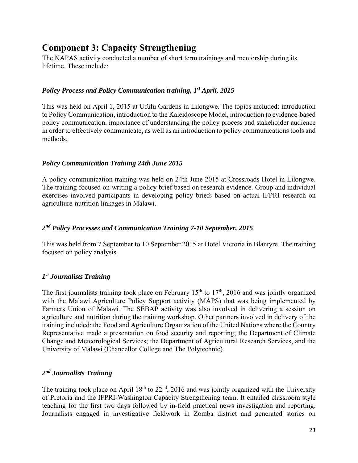# **Component 3: Capacity Strengthening**

The NAPAS activity conducted a number of short term trainings and mentorship during its lifetime. These include:

## *Policy Process and Policy Communication training, 1st April, 2015*

This was held on April 1, 2015 at Ufulu Gardens in Lilongwe. The topics included: introduction to Policy Communication, introduction to the Kaleidoscope Model, introduction to evidence-based policy communication, importance of understanding the policy process and stakeholder audience in order to effectively communicate, as well as an introduction to policy communications tools and methods.

## *Policy Communication Training 24th June 2015*

A policy communication training was held on 24th June 2015 at Crossroads Hotel in Lilongwe. The training focused on writing a policy brief based on research evidence. Group and individual exercises involved participants in developing policy briefs based on actual IFPRI research on agriculture-nutrition linkages in Malawi.

## *2nd Policy Processes and Communication Training 7-10 September, 2015*

This was held from 7 September to 10 September 2015 at Hotel Victoria in Blantyre. The training focused on policy analysis.

## *1st Journalists Training*

The first journalists training took place on February  $15<sup>th</sup>$  to  $17<sup>th</sup>$ , 2016 and was jointly organized with the Malawi Agriculture Policy Support activity (MAPS) that was being implemented by Farmers Union of Malawi. The SEBAP activity was also involved in delivering a session on agriculture and nutrition during the training workshop. Other partners involved in delivery of the training included: the Food and Agriculture Organization of the United Nations where the Country Representative made a presentation on food security and reporting; the Department of Climate Change and Meteorological Services; the Department of Agricultural Research Services, and the University of Malawi (Chancellor College and The Polytechnic).

## *2nd Journalists Training*

The training took place on April  $18<sup>th</sup>$  to  $22<sup>nd</sup>$ , 2016 and was jointly organized with the University of Pretoria and the IFPRI-Washington Capacity Strengthening team. It entailed classroom style teaching for the first two days followed by in-field practical news investigation and reporting. Journalists engaged in investigative fieldwork in Zomba district and generated stories on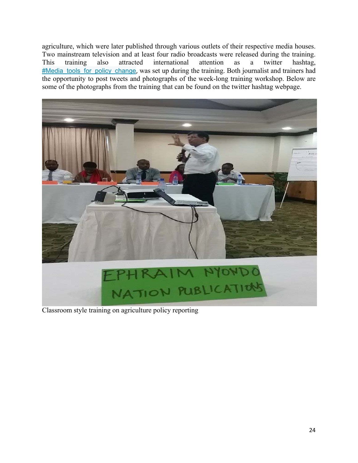agriculture, which were later published through various outlets of their respective media houses. Two mainstream television and at least four radio broadcasts were released during the training. This training also attracted international attention as a twitter hashtag, #Media tools for policy change, was set up during the training. Both journalist and trainers had the opportunity to post tweets and photographs of the week-long training workshop. Below are some of the photographs from the training that can be found on the twitter hashtag webpage.



Classroom style training on agriculture policy reporting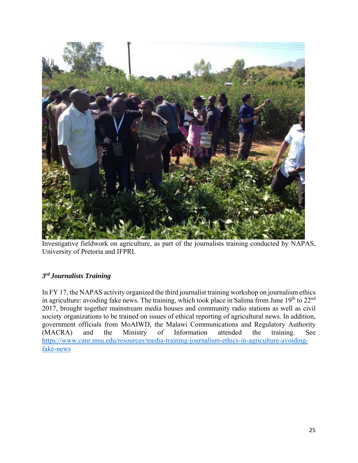

Investigative fieldwork on agriculture, as part of the journalists training conducted by NAPAS, University of Pretoria and IFPRI.

## *3rd Journalists Training*

In FY 17, the NAPAS activity organized the third journalist training workshop on journalism ethics in agriculture: avoiding fake news. The training, which took place in Salima from June  $19<sup>th</sup>$  to  $22<sup>nd</sup>$ 2017, brought together mainstream media houses and community radio stations as well as civil society organizations to be trained on issues of ethical reporting of agricultural news. In addition, government officials from MoAIWD, the Malawi Communications and Regulatory Authority (MACRA) and the Ministry of Information attended the training. See https://www.canr.msu.edu/resources/media-training-journalism-ethics-in-agriculture-avoidingfake-news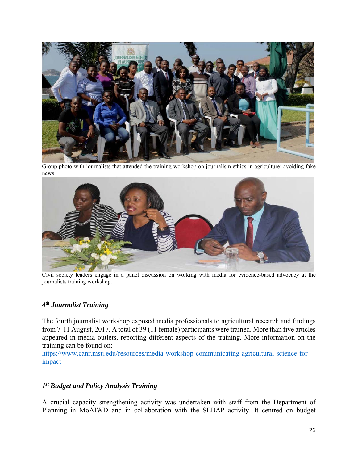

Group photo with journalists that attended the training workshop on journalism ethics in agriculture: avoiding fake news



Civil society leaders engage in a panel discussion on working with media for evidence-based advocacy at the journalists training workshop.

## *4th Journalist Training*

The fourth journalist workshop exposed media professionals to agricultural research and findings from 7-11 August, 2017. A total of 39 (11 female) participants were trained. More than five articles appeared in media outlets, reporting different aspects of the training. More information on the training can be found on:

https://www.canr.msu.edu/resources/media-workshop-communicating-agricultural-science-forimpact

## *1st Budget and Policy Analysis Training*

A crucial capacity strengthening activity was undertaken with staff from the Department of Planning in MoAIWD and in collaboration with the SEBAP activity. It centred on budget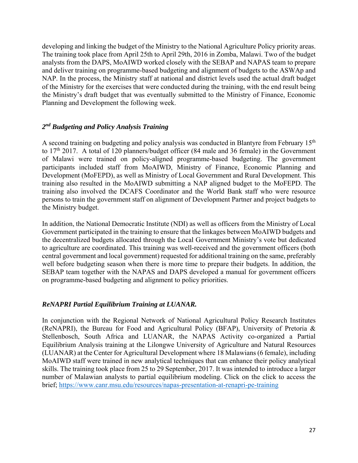developing and linking the budget of the Ministry to the National Agriculture Policy priority areas. The training took place from April 25th to April 29th, 2016 in Zomba, Malawi. Two of the budget analysts from the DAPS, MoAIWD worked closely with the SEBAP and NAPAS team to prepare and deliver training on programme-based budgeting and alignment of budgets to the ASWAp and NAP. In the process, the Ministry staff at national and district levels used the actual draft budget of the Ministry for the exercises that were conducted during the training, with the end result being the Ministry's draft budget that was eventually submitted to the Ministry of Finance, Economic Planning and Development the following week.

## *2nd Budgeting and Policy Analysis Training*

A second training on budgeting and policy analysis was conducted in Blantyre from February  $15<sup>th</sup>$ to  $17<sup>th</sup>$  2017. A total of 120 planners/budget officer (84 male and 36 female) in the Government of Malawi were trained on policy-aligned programme-based budgeting. The government participants included staff from MoAIWD, Ministry of Finance, Economic Planning and Development (MoFEPD), as well as Ministry of Local Government and Rural Development. This training also resulted in the MoAIWD submitting a NAP aligned budget to the MoFEPD. The training also involved the DCAFS Coordinator and the World Bank staff who were resource persons to train the government staff on alignment of Development Partner and project budgets to the Ministry budget.

In addition, the National Democratic Institute (NDI) as well as officers from the Ministry of Local Government participated in the training to ensure that the linkages between MoAIWD budgets and the decentralized budgets allocated through the Local Government Ministry's vote but dedicated to agriculture are coordinated. This training was well-received and the government officers (both central government and local government) requested for additional training on the same, preferably well before budgeting season when there is more time to prepare their budgets. In addition, the SEBAP team together with the NAPAS and DAPS developed a manual for government officers on programme-based budgeting and alignment to policy priorities.

## *ReNAPRI Partial Equilibrium Training at LUANAR.*

In conjunction with the Regional Network of National Agricultural Policy Research Institutes (ReNAPRI), the Bureau for Food and Agricultural Policy (BFAP), University of Pretoria & Stellenbosch, South Africa and LUANAR, the NAPAS Activity co-organized a Partial Equilibrium Analysis training at the Lilongwe University of Agriculture and Natural Resources (LUANAR) at the Center for Agricultural Development where 18 Malawians (6 female), including MoAIWD staff were trained in new analytical techniques that can enhance their policy analytical skills. The training took place from 25 to 29 September, 2017. It was intended to introduce a larger number of Malawian analysts to partial equilibrium modeling. Click on the click to access the brief; https://www.canr.msu.edu/resources/napas-presentation-at-renapri-pe-training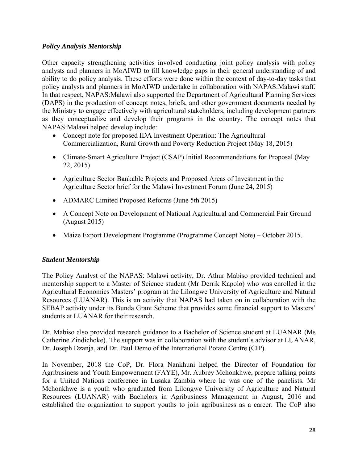## *Policy Analysis Mentorship*

Other capacity strengthening activities involved conducting joint policy analysis with policy analysts and planners in MoAIWD to fill knowledge gaps in their general understanding of and ability to do policy analysis. These efforts were done within the context of day-to-day tasks that policy analysts and planners in MoAIWD undertake in collaboration with NAPAS:Malawi staff. In that respect, NAPAS:Malawi also supported the Department of Agricultural Planning Services (DAPS) in the production of concept notes, briefs, and other government documents needed by the Ministry to engage effectively with agricultural stakeholders, including development partners as they conceptualize and develop their programs in the country. The concept notes that NAPAS:Malawi helped develop include:

- Concept note for proposed IDA Investment Operation: The Agricultural Commercialization, Rural Growth and Poverty Reduction Project (May 18, 2015)
- Climate-Smart Agriculture Project (CSAP) Initial Recommendations for Proposal (May 22, 2015)
- Agriculture Sector Bankable Projects and Proposed Areas of Investment in the Agriculture Sector brief for the Malawi Investment Forum (June 24, 2015)
- ADMARC Limited Proposed Reforms (June 5th 2015)
- A Concept Note on Development of National Agricultural and Commercial Fair Ground (August 2015)
- Maize Export Development Programme (Programme Concept Note) October 2015.

## *Student Mentorship*

The Policy Analyst of the NAPAS: Malawi activity, Dr. Athur Mabiso provided technical and mentorship support to a Master of Science student (Mr Derrik Kapolo) who was enrolled in the Agricultural Economics Masters' program at the Lilongwe University of Agriculture and Natural Resources (LUANAR). This is an activity that NAPAS had taken on in collaboration with the SEBAP activity under its Bunda Grant Scheme that provides some financial support to Masters' students at LUANAR for their research.

Dr. Mabiso also provided research guidance to a Bachelor of Science student at LUANAR (Ms Catherine Zindichoke). The support was in collaboration with the student's advisor at LUANAR, Dr. Joseph Dzanja, and Dr. Paul Demo of the International Potato Centre (CIP).

In November, 2018 the CoP, Dr. Flora Nankhuni helped the Director of Foundation for Agribusiness and Youth Empowerment (FAYE), Mr. Aubrey Mchonkhwe, prepare talking points for a United Nations conference in Lusaka Zambia where he was one of the panelists. Mr Mchonkhwe is a youth who graduated from Lilongwe University of Agriculture and Natural Resources (LUANAR) with Bachelors in Agribusiness Management in August, 2016 and established the organization to support youths to join agribusiness as a career. The CoP also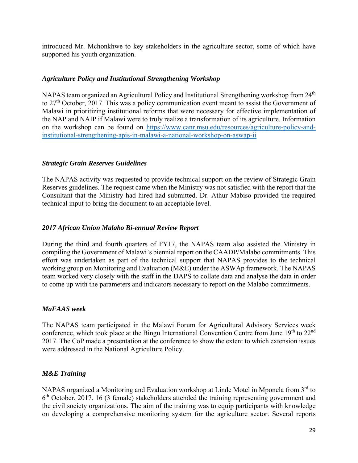introduced Mr. Mchonkhwe to key stakeholders in the agriculture sector, some of which have supported his youth organization.

## *Agriculture Policy and Institutional Strengthening Workshop*

NAPAS team organized an Agricultural Policy and Institutional Strengthening workshop from 24<sup>th</sup> to 27<sup>th</sup> October, 2017. This was a policy communication event meant to assist the Government of Malawi in prioritizing institutional reforms that were necessary for effective implementation of the NAP and NAIP if Malawi were to truly realize a transformation of its agriculture. Information on the workshop can be found on https://www.canr.msu.edu/resources/agriculture-policy-andinstitutional-strengthening-apis-in-malawi-a-national-workshop-on-aswap-ii

## *Strategic Grain Reserves Guidelines*

The NAPAS activity was requested to provide technical support on the review of Strategic Grain Reserves guidelines. The request came when the Ministry was not satisfied with the report that the Consultant that the Ministry had hired had submitted. Dr. Athur Mabiso provided the required technical input to bring the document to an acceptable level.

## *2017 African Union Malabo Bi-ennual Review Report*

During the third and fourth quarters of FY17, the NAPAS team also assisted the Ministry in compiling the Government of Malawi's biennial report on the CAADP/Malabo commitments. This effort was undertaken as part of the technical support that NAPAS provides to the technical working group on Monitoring and Evaluation (M&E) under the ASWAp framework. The NAPAS team worked very closely with the staff in the DAPS to collate data and analyse the data in order to come up with the parameters and indicators necessary to report on the Malabo commitments.

## *MaFAAS week*

The NAPAS team participated in the Malawi Forum for Agricultural Advisory Services week conference, which took place at the Bingu International Convention Centre from June  $19<sup>th</sup>$  to  $22<sup>nd</sup>$ 2017. The CoP made a presentation at the conference to show the extent to which extension issues were addressed in the National Agriculture Policy.

## *M&E Training*

NAPAS organized a Monitoring and Evaluation workshop at Linde Motel in Mponela from 3<sup>rd</sup> to  $6<sup>th</sup> October, 2017. 16 (3 female) stakeholders attended the training representing government and$ the civil society organizations. The aim of the training was to equip participants with knowledge on developing a comprehensive monitoring system for the agriculture sector. Several reports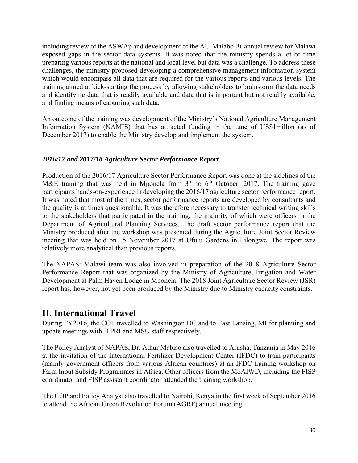including review of the ASWAp and development of the AU-Malabo Bi-annual review for Malawi exposed gaps in the sector data systems. It was noted that the ministry spends a lot of time preparing various reports at the national and local level but data was a challenge. To address these challenges, the ministry proposed developing a comprehensive management information system which would encompass all data that are required for the various reports and various levels. The training aimed at kick-starting the process by allowing stakeholders to brainstorm the data needs and identifying data that is readily available and data that is important but not readily available, and finding means of capturing such data.

An outcome of the training was development of the Ministry's National Agriculture Management Information System (NAMIS) that has attracted funding in the tune of US\$1millon (as of December 2017) to enable the Ministry develop and implement the system.

## *2016/17 and 2017/18 Agriculture Sector Performance Report*

Production of the 2016/17 Agriculture Sector Performance Report was done at the sidelines of the M&E training that was held in Mponela from  $3<sup>rd</sup>$  to  $6<sup>th</sup>$  October, 2017. The training gave participants hands-on-experience in developing the 2016/17 agriculture sector performance report. It was noted that most of the times, sector performance reports are developed by consultants and the quality is at times questionable. It was therefore necessary to transfer technical writing skills to the stakeholders that participated in the training, the majority of which were officers in the Department of Agricultural Planning Services. The draft sector performance report that the Ministry produced after the workshop was presented during the Agriculture Joint Sector Review meeting that was held on 15 November 2017 at Ufulu Gardens in Lilongwe. The report was relatively more analytical than previous reports.

The NAPAS: Malawi team was also involved in preparation of the 2018 Agriculture Sector Performance Report that was organized by the Ministry of Agriculture, Irrigation and Water Development at Palm Haven Lodge in Mponela. The 2018 Joint Agriculture Sector Review (JSR) report has, however, not yet been produced by the Ministry due to Ministry capacity constraints.

# **II. International Travel**

During FY2016, the COP travelled to Washington DC and to East Lansing, MI for planning and update meetings with IFPRI and MSU staff respectively.

The Policy Analyst of NAPAS, Dr. Athur Mabiso also travelled to Arusha, Tanzania in May 2016 at the invitation of the International Fertilizer Development Center (IFDC) to train participants (mainly government officers from various African countries) at an IFDC training workshop on Farm Input Subsidy Programmes in Africa. Other officers from the MoAIWD, including the FISP coordinator and FISP assistant coordinator attended the training workshop.

The COP and Policy Analyst also travelled to Nairobi, Kenya in the first week of September 2016 to attend the African Green Revolution Forum (AGRF) annual meeting.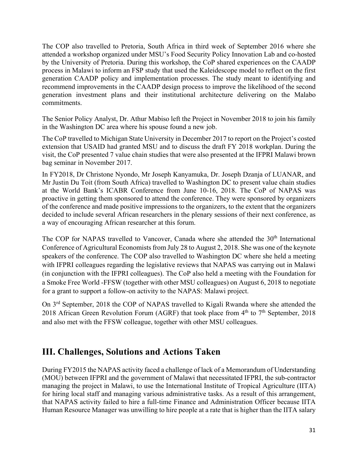The COP also travelled to Pretoria, South Africa in third week of September 2016 where she attended a workshop organized under MSU's Food Security Policy Innovation Lab and co-hosted by the University of Pretoria. During this workshop, the CoP shared experiences on the CAADP process in Malawi to inform an FSP study that used the Kaleidescope model to reflect on the first generation CAADP policy and implementation processes. The study meant to identifying and recommend improvements in the CAADP design process to improve the likelihood of the second generation investment plans and their institutional architecture delivering on the Malabo commitments.

The Senior Policy Analyst, Dr. Athur Mabiso left the Project in November 2018 to join his family in the Washington DC area where his spouse found a new job.

The CoP travelled to Michigan State University in December 2017 to report on the Project's costed extension that USAID had granted MSU and to discuss the draft FY 2018 workplan. During the visit, the CoP presented 7 value chain studies that were also presented at the IFPRI Malawi brown bag seminar in November 2017.

In FY2018, Dr Christone Nyondo, Mr Joseph Kanyamuka, Dr. Joseph Dzanja of LUANAR, and Mr Justin Du Toit (from South Africa) travelled to Washington DC to present value chain studies at the World Bank's ICABR Conference from June 10-16, 2018. The CoP of NAPAS was proactive in getting them sponsored to attend the conference. They were sponsored by organizers of the conference and made positive impressions to the organizers, to the extent that the organizers decided to include several African researchers in the plenary sessions of their next conference, as a way of encouraging African researcher at this forum.

The COP for NAPAS travelled to Vancover, Canada where she attended the 30<sup>th</sup> International Conference of Agricultural Economists from July 28 to August 2, 2018. She was one of the keynote speakers of the conference. The COP also travelled to Washington DC where she held a meeting with IFPRI colleagues regarding the legislative reviews that NAPAS was carrying out in Malawi (in conjunction with the IFPRI colleagues). The CoP also held a meeting with the Foundation for a Smoke Free World -FFSW (together with other MSU colleagues) on August 6, 2018 to negotiate for a grant to support a follow-on activity to the NAPAS: Malawi project.

On 3rd September, 2018 the COP of NAPAS travelled to Kigali Rwanda where she attended the 2018 African Green Revolution Forum (AGRF) that took place from  $4<sup>th</sup>$  to  $7<sup>th</sup>$  September, 2018 and also met with the FFSW colleague, together with other MSU colleagues.

# **III. Challenges, Solutions and Actions Taken**

During FY2015 the NAPAS activity faced a challenge of lack of a Memorandum of Understanding (MOU) between IFPRI and the government of Malawi that necessitated IFPRI, the sub-contractor managing the project in Malawi, to use the International Institute of Tropical Agriculture (IITA) for hiring local staff and managing various administrative tasks. As a result of this arrangement, that NAPAS activity failed to hire a full-time Finance and Administration Officer because IITA Human Resource Manager was unwilling to hire people at a rate that is higher than the IITA salary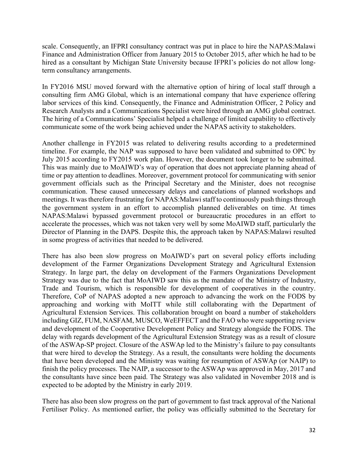scale. Consequently, an IFPRI consultancy contract was put in place to hire the NAPAS:Malawi Finance and Administration Officer from January 2015 to October 2015, after which he had to be hired as a consultant by Michigan State University because IFPRI's policies do not allow longterm consultancy arrangements.

In FY2016 MSU moved forward with the alternative option of hiring of local staff through a consulting firm AMG Global, which is an international company that have experience offering labor services of this kind. Consequently, the Finance and Administration Officer, 2 Policy and Research Analysts and a Communications Specialist were hired through an AMG global contract. The hiring of a Communications' Specialist helped a challenge of limited capability to effectively communicate some of the work being achieved under the NAPAS activity to stakeholders.

Another challenge in FY2015 was related to delivering results according to a predetermined timeline. For example, the NAP was supposed to have been validated and submitted to OPC by July 2015 according to FY2015 work plan. However, the document took longer to be submitted. This was mainly due to MoAIWD's way of operation that does not appreciate planning ahead of time or pay attention to deadlines. Moreover, government protocol for communicating with senior government officials such as the Principal Secretary and the Minister, does not recognise communication. These caused unnecessary delays and cancelations of planned workshops and meetings. It was therefore frustrating for NAPAS:Malawi staff to continuously push things through the government system in an effort to accomplish planned deliverables on time. At times NAPAS:Malawi bypassed government protocol or bureaucratic procedures in an effort to accelerate the processes, which was not taken very well by some MoAIWD staff, particularly the Director of Planning in the DAPS. Despite this, the approach taken by NAPAS:Malawi resulted in some progress of activities that needed to be delivered.

There has also been slow progress on MoAIWD's part on several policy efforts including development of the Farmer Organizations Development Strategy and Agricultural Extension Strategy. In large part, the delay on development of the Farmers Organizations Development Strategy was due to the fact that MoAIWD saw this as the mandate of the Ministry of Industry, Trade and Tourism, which is responsible for development of cooperatives in the country. Therefore, CoP of NAPAS adopted a new approach to advancing the work on the FODS by approaching and working with MoITT while still collaborating with the Department of Agricultural Extension Services. This collaboration brought on board a number of stakeholders including GIZ, FUM, NASFAM, MUSCO, WeEFFECT and the FAO who were supporting review and development of the Cooperative Development Policy and Strategy alongside the FODS. The delay with regards development of the Agricultural Extension Strategy was as a result of closure of the ASWAp-SP project. Closure of the ASWAp led to the Ministry's failure to pay consultants that were hired to develop the Strategy. As a result, the consultants were holding the documents that have been developed and the Ministry was waiting for resumption of ASWAp (or NAIP) to finish the policy processes. The NAIP, a successor to the ASWAp was approved in May, 2017 and the consultants have since been paid. The Strategy was also validated in November 2018 and is expected to be adopted by the Ministry in early 2019.

There has also been slow progress on the part of government to fast track approval of the National Fertiliser Policy. As mentioned earlier, the policy was officially submitted to the Secretary for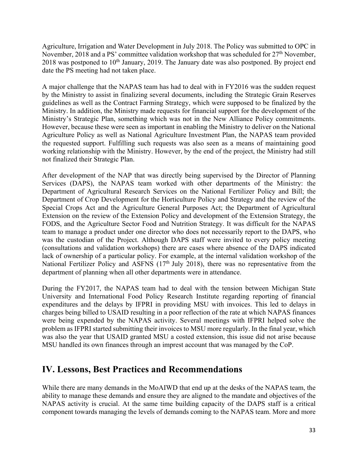Agriculture, Irrigation and Water Development in July 2018. The Policy was submitted to OPC in November, 2018 and a PS' committee validation workshop that was scheduled for  $27<sup>th</sup>$  November,  $2018$  was postponed to  $10<sup>th</sup>$  January, 2019. The January date was also postponed. By project end date the PS meeting had not taken place.

A major challenge that the NAPAS team has had to deal with in FY2016 was the sudden request by the Ministry to assist in finalizing several documents, including the Strategic Grain Reserves guidelines as well as the Contract Farming Strategy, which were supposed to be finalized by the Ministry. In addition, the Ministry made requests for financial support for the development of the Ministry's Strategic Plan, something which was not in the New Alliance Policy commitments. However, because these were seen as important in enabling the Ministry to deliver on the National Agriculture Policy as well as National Agriculture Investment Plan, the NAPAS team provided the requested support. Fulfilling such requests was also seen as a means of maintaining good working relationship with the Ministry. However, by the end of the project, the Ministry had still not finalized their Strategic Plan.

After development of the NAP that was directly being supervised by the Director of Planning Services (DAPS), the NAPAS team worked with other departments of the Ministry: the Department of Agricultural Research Services on the National Fertilizer Policy and Bill; the Department of Crop Development for the Horticulture Policy and Strategy and the review of the Special Crops Act and the Agriculture General Purposes Act; the Department of Agricultural Extension on the review of the Extension Policy and development of the Extension Strategy, the FODS, and the Agriculture Sector Food and Nutrition Strategy. It was difficult for the NAPAS team to manage a product under one director who does not necessarily report to the DAPS, who was the custodian of the Project. Although DAPS staff were invited to every policy meeting (consultations and validation workshops) there are cases where absence of the DAPS indicated lack of ownership of a particular policy. For example, at the internal validation workshop of the National Fertilizer Policy and ASFNS (17<sup>th</sup> July 2018), there was no representative from the department of planning when all other departments were in attendance.

During the FY2017, the NAPAS team had to deal with the tension between Michigan State University and International Food Policy Research Institute regarding reporting of financial expenditures and the delays by IFPRI in providing MSU with invoices. This led to delays in charges being billed to USAID resulting in a poor reflection of the rate at which NAPAS finances were being expended by the NAPAS activity. Several meetings with IFPRI helped solve the problem as IFPRI started submitting their invoices to MSU more regularly. In the final year, which was also the year that USAID granted MSU a costed extension, this issue did not arise because MSU handled its own finances through an imprest account that was managed by the CoP.

## **IV. Lessons, Best Practices and Recommendations**

While there are many demands in the MoAIWD that end up at the desks of the NAPAS team, the ability to manage these demands and ensure they are aligned to the mandate and objectives of the NAPAS activity is crucial. At the same time building capacity of the DAPS staff is a critical component towards managing the levels of demands coming to the NAPAS team. More and more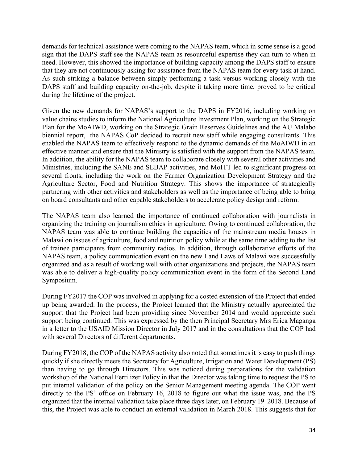demands for technical assistance were coming to the NAPAS team, which in some sense is a good sign that the DAPS staff see the NAPAS team as resourceful expertise they can turn to when in need. However, this showed the importance of building capacity among the DAPS staff to ensure that they are not continuously asking for assistance from the NAPAS team for every task at hand. As such striking a balance between simply performing a task versus working closely with the DAPS staff and building capacity on-the-job, despite it taking more time, proved to be critical during the lifetime of the project.

Given the new demands for NAPAS's support to the DAPS in FY2016, including working on value chains studies to inform the National Agriculture Investment Plan, working on the Strategic Plan for the MoAIWD, working on the Strategic Grain Reserves Guidelines and the AU Malabo biennial report, the NAPAS CoP decided to recruit new staff while engaging consultants. This enabled the NAPAS team to effectively respond to the dynamic demands of the MoAIWD in an effective manner and ensure that the Ministry is satisfied with the support from the NAPAS team. In addition, the ability for the NAPAS team to collaborate closely with several other activities and Ministries, including the SANE and SEBAP activities, and MoITT led to significant progress on several fronts, including the work on the Farmer Organization Development Strategy and the Agriculture Sector, Food and Nutrition Strategy. This shows the importance of strategically partnering with other activities and stakeholders as well as the importance of being able to bring on board consultants and other capable stakeholders to accelerate policy design and reform.

The NAPAS team also learned the importance of continued collaboration with journalists in organizing the training on journalism ethics in agriculture. Owing to continued collaboration, the NAPAS team was able to continue building the capacities of the mainstream media houses in Malawi on issues of agriculture, food and nutrition policy while at the same time adding to the list of trainee participants from community radios. In addition, through collaborative efforts of the NAPAS team, a policy communication event on the new Land Laws of Malawi was successfully organized and as a result of working well with other organizations and projects, the NAPAS team was able to deliver a high-quality policy communication event in the form of the Second Land Symposium.

During FY2017 the COP was involved in applying for a costed extension of the Project that ended up being awarded. In the process, the Project learned that the Ministry actually appreciated the support that the Project had been providing since November 2014 and would appreciate such support being continued. This was expressed by the then Principal Secretary Mrs Erica Maganga in a letter to the USAID Mission Director in July 2017 and in the consultations that the COP had with several Directors of different departments.

During FY2018, the COP of the NAPAS activity also noted that sometimes it is easy to push things quickly if she directly meets the Secretary for Agriculture, Irrigation and Water Development (PS) than having to go through Directors. This was noticed during preparations for the validation workshop of the National Fertilizer Policy in that the Director was taking time to request the PS to put internal validation of the policy on the Senior Management meeting agenda. The COP went directly to the PS' office on February 16, 2018 to figure out what the issue was, and the PS organized that the internal validation take place three days later, on February 19 2018. Because of this, the Project was able to conduct an external validation in March 2018. This suggests that for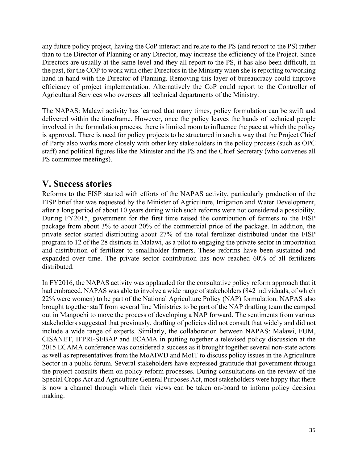any future policy project, having the CoP interact and relate to the PS (and report to the PS) rather than to the Director of Planning or any Director, may increase the efficiency of the Project. Since Directors are usually at the same level and they all report to the PS, it has also been difficult, in the past, for the COP to work with other Directors in the Ministry when she is reporting to/working hand in hand with the Director of Planning. Removing this layer of bureaucracy could improve efficiency of project implementation. Alternatively the CoP could report to the Controller of Agricultural Services who oversees all technical departments of the Ministry.

The NAPAS: Malawi activity has learned that many times, policy formulation can be swift and delivered within the timeframe. However, once the policy leaves the hands of technical people involved in the formulation process, there is limited room to influence the pace at which the policy is approved. There is need for policy projects to be structured in such a way that the Project Chief of Party also works more closely with other key stakeholders in the policy process (such as OPC staff) and political figures like the Minister and the PS and the Chief Secretary (who convenes all PS committee meetings).

# **V. Success stories**

Reforms to the FISP started with efforts of the NAPAS activity, particularly production of the FISP brief that was requested by the Minister of Agriculture, Irrigation and Water Development, after a long period of about 10 years during which such reforms were not considered a possibility. During FY2015, government for the first time raised the contribution of farmers to the FISP package from about 3% to about 20% of the commercial price of the package. In addition, the private sector started distributing about 27% of the total fertilizer distributed under the FISP program to 12 of the 28 districts in Malawi, as a pilot to engaging the private sector in importation and distribution of fertilizer to smallholder farmers. These reforms have been sustained and expanded over time. The private sector contribution has now reached 60% of all fertilizers distributed.

In FY2016, the NAPAS activity was applauded for the consultative policy reform approach that it had embraced. NAPAS was able to involve a wide range of stakeholders (842 individuals, of which 22% were women) to be part of the National Agriculture Policy (NAP) formulation. NAPAS also brought together staff from several line Ministries to be part of the NAP drafting team the camped out in Mangochi to move the process of developing a NAP forward. The sentiments from various stakeholders suggested that previously, drafting of policies did not consult that widely and did not include a wide range of experts. Similarly, the collaboration between NAPAS: Malawi, FUM, CISANET, IFPRI-SEBAP and ECAMA in putting together a televised policy discussion at the 2015 ECAMA conference was considered a success as it brought together several non-state actors as well as representatives from the MoAIWD and MoIT to discuss policy issues in the Agriculture Sector in a public forum. Several stakeholders have expressed gratitude that government through the project consults them on policy reform processes. During consultations on the review of the Special Crops Act and Agriculture General Purposes Act, most stakeholders were happy that there is now a channel through which their views can be taken on-board to inform policy decision making.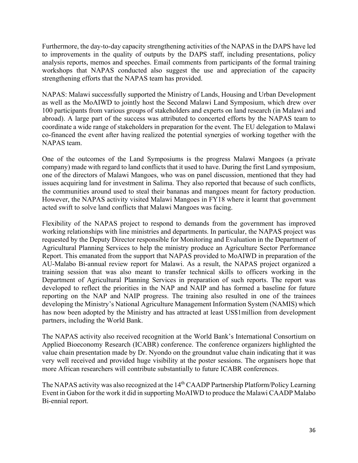Furthermore, the day-to-day capacity strengthening activities of the NAPAS in the DAPS have led to improvements in the quality of outputs by the DAPS staff, including presentations, policy analysis reports, memos and speeches. Email comments from participants of the formal training workshops that NAPAS conducted also suggest the use and appreciation of the capacity strengthening efforts that the NAPAS team has provided.

NAPAS: Malawi successfully supported the Ministry of Lands, Housing and Urban Development as well as the MoAIWD to jointly host the Second Malawi Land Symposium, which drew over 100 participants from various groups of stakeholders and experts on land research (in Malawi and abroad). A large part of the success was attributed to concerted efforts by the NAPAS team to coordinate a wide range of stakeholders in preparation for the event. The EU delegation to Malawi co-financed the event after having realized the potential synergies of working together with the NAPAS team.

One of the outcomes of the Land Symposiums is the progress Malawi Mangoes (a private company) made with regard to land conflicts that it used to have. During the first Land symposium, one of the directors of Malawi Mangoes, who was on panel discussion, mentioned that they had issues acquiring land for investment in Salima. They also reported that because of such conflicts, the communities around used to steal their bananas and mangoes meant for factory production. However, the NAPAS activity visited Malawi Mangoes in FY18 where it learnt that government acted swift to solve land conflicts that Malawi Mangoes was facing.

Flexibility of the NAPAS project to respond to demands from the government has improved working relationships with line ministries and departments. In particular, the NAPAS project was requested by the Deputy Director responsible for Monitoring and Evaluation in the Department of Agricultural Planning Services to help the ministry produce an Agriculture Sector Performance Report. This emanated from the support that NAPAS provided to MoAIWD in preparation of the AU-Malabo Bi-annual review report for Malawi. As a result, the NAPAS project organized a training session that was also meant to transfer technical skills to officers working in the Department of Agricultural Planning Services in preparation of such reports. The report was developed to reflect the priorities in the NAP and NAIP and has formed a baseline for future reporting on the NAP and NAIP progress. The training also resulted in one of the trainees developing the Ministry's National Agriculture Management Information System (NAMIS) which has now been adopted by the Ministry and has attracted at least US\$1million from development partners, including the World Bank.

The NAPAS activity also received recognition at the World Bank's International Consortium on Applied Bioeconomy Research (ICABR) conference. The conference organizers highlighted the value chain presentation made by Dr. Nyondo on the groundnut value chain indicating that it was very well received and provided huge visibility at the poster sessions. The organisers hope that more African researchers will contribute substantially to future ICABR conferences.

The NAPAS activity was also recognized at the 14<sup>th</sup> CAADP Partnership Platform/Policy Learning Event in Gabon for the work it did in supporting MoAIWD to produce the Malawi CAADP Malabo Bi-ennial report.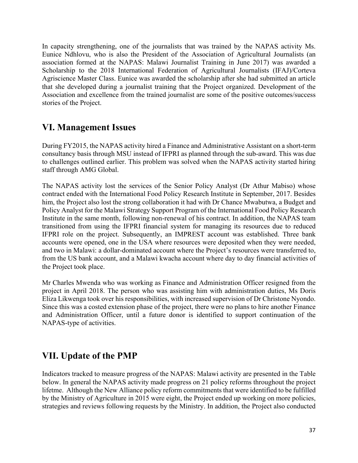In capacity strengthening, one of the journalists that was trained by the NAPAS activity Ms. Eunice Ndhlovu, who is also the President of the Association of Agricultural Journalists (an association formed at the NAPAS: Malawi Journalist Training in June 2017) was awarded a Scholarship to the 2018 International Federation of Agricultural Journalists (IFAJ)/Corteva Agriscience Master Class. Eunice was awarded the scholarship after she had submitted an article that she developed during a journalist training that the Project organized. Development of the Association and excellence from the trained journalist are some of the positive outcomes/success stories of the Project.

## **VI. Management Issues**

During FY2015, the NAPAS activity hired a Finance and Administrative Assistant on a short-term consultancy basis through MSU instead of IFPRI as planned through the sub-award. This was due to challenges outlined earlier. This problem was solved when the NAPAS activity started hiring staff through AMG Global.

The NAPAS activity lost the services of the Senior Policy Analyst (Dr Athur Mabiso) whose contract ended with the International Food Policy Research Institute in September, 2017. Besides him, the Project also lost the strong collaboration it had with Dr Chance Mwabutwa, a Budget and Policy Analyst for the Malawi Strategy Support Program of the International Food Policy Research Institute in the same month, following non-renewal of his contract. In addition, the NAPAS team transitioned from using the IFPRI financial system for managing its resources due to reduced IFPRI role on the project. Subsequently, an IMPREST account was established. Three bank accounts were opened, one in the USA where resources were deposited when they were needed, and two in Malawi: a dollar-dominated account where the Project's resources were transferred to, from the US bank account, and a Malawi kwacha account where day to day financial activities of the Project took place.

Mr Charles Mwenda who was working as Finance and Administration Officer resigned from the project in April 2018. The person who was assisting him with administration duties, Ms Doris Eliza Likwenga took over his responsibilities, with increased supervision of Dr Christone Nyondo. Since this was a costed extension phase of the project, there were no plans to hire another Finance and Administration Officer, until a future donor is identified to support continuation of the NAPAS-type of activities.

# **VII. Update of the PMP**

Indicators tracked to measure progress of the NAPAS: Malawi activity are presented in the Table below. In general the NAPAS activity made progress on 21 policy reforms throughout the project lifetme. Although the New Alliance policy reform commitments that were identified to be fulfilled by the Ministry of Agriculture in 2015 were eight, the Project ended up working on more policies, strategies and reviews following requests by the Ministry. In addition, the Project also conducted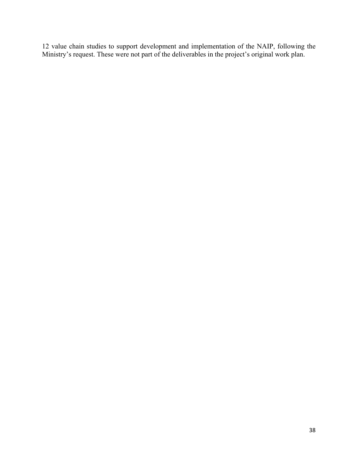12 value chain studies to support development and implementation of the NAIP, following the Ministry's request. These were not part of the deliverables in the project's original work plan.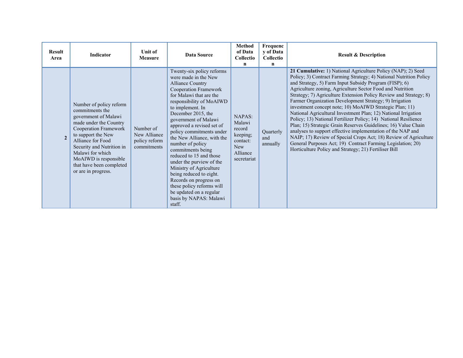| <b>Result</b><br>Area | <b>Indicator</b>                                                                                                                                                                                                                                                                              | Unit of<br><b>Measure</b>                                 | <b>Data Source</b>                                                                                                                                                                                                                                                                                                                                                                                                                                                                                                                                                                                | <b>Method</b><br>of Data<br>Collectio<br>$\mathbf n$                                               | Frequenc<br>y of Data<br>Collectio<br>$\mathbf n$ | <b>Result &amp; Description</b>                                                                                                                                                                                                                                                                                                                                                                                                                                                                                                                                                                                                                                                                                                                                                                                                                                                                                        |
|-----------------------|-----------------------------------------------------------------------------------------------------------------------------------------------------------------------------------------------------------------------------------------------------------------------------------------------|-----------------------------------------------------------|---------------------------------------------------------------------------------------------------------------------------------------------------------------------------------------------------------------------------------------------------------------------------------------------------------------------------------------------------------------------------------------------------------------------------------------------------------------------------------------------------------------------------------------------------------------------------------------------------|----------------------------------------------------------------------------------------------------|---------------------------------------------------|------------------------------------------------------------------------------------------------------------------------------------------------------------------------------------------------------------------------------------------------------------------------------------------------------------------------------------------------------------------------------------------------------------------------------------------------------------------------------------------------------------------------------------------------------------------------------------------------------------------------------------------------------------------------------------------------------------------------------------------------------------------------------------------------------------------------------------------------------------------------------------------------------------------------|
| $\overline{2}$        | Number of policy reform<br>commitments the<br>government of Malawi<br>made under the Country<br>Cooperation Framework<br>to support the New<br>Alliance for Food<br>Security and Nutrition in<br>Malawi for which<br>MoAIWD is responsible<br>that have been completed<br>or are in progress. | Number of<br>New Alliance<br>policy reform<br>commitments | Twenty-six policy reforms<br>were made in the New<br><b>Alliance Country</b><br>Cooperation Framework<br>for Malawi that are the<br>responsibility of MoAIWD<br>to implement. In<br>December 2015, the<br>government of Malawi<br>approved a revised set of<br>policy commitments under<br>the New Alliance, with the<br>number of policy<br>commitments being<br>reduced to 15 and those<br>under the purview of the<br>Ministry of Agriculture<br>being reduced to eight.<br>Records on progress on<br>these policy reforms will<br>be updated on a regular<br>basis by NAPAS: Malawi<br>staff. | <b>NAPAS:</b><br>Malawi<br>record<br>keeping;<br>contact:<br><b>New</b><br>Alliance<br>secretariat | Quarterly<br>and<br>annually                      | 21 Cumulative: 1) National Agriculture Policy (NAP); 2) Seed<br>Policy; 3) Contract Farming Strategy; 4) National Nutrition Policy<br>and Strategy, 5) Farm Input Subsidy Program (FISP); 6)<br>Agriculture zoning, Agriculture Sector Food and Nutrition<br>Strategy; 7) Agriculture Extension Policy Review and Strategy; 8)<br>Farmer Organization Development Strategy; 9) Irrigation<br>investment concept note; 10) MoAIWD Strategic Plan; 11)<br>National Agricultural Investment Plan; 12) National Irrigation<br>Policy; 13) National Fertilizer Policy; 14) National Resilience<br>Plan; 15) Strategic Grain Reserves Guidelines; 16) Value Chain<br>analyses to support effective implementation of the NAP and<br>NAIP; 17) Review of Special Crops Act; 18) Review of Agriculture<br>General Purposes Act; 19) Contract Farming Legislation; 20)<br>Horticulture Policy and Strategy; 21) Fertiliser Bill |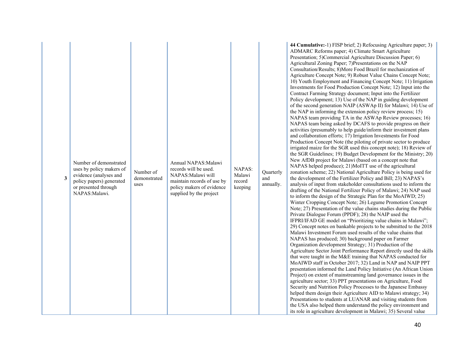| 3 | Number of demonstrated<br>uses by policy makers of<br>evidence (analyses and<br>policy papers) generated<br>or presented through<br>NAPAS:Malawi. | Number of<br>demonstrated<br>uses | Annual NAPAS: Malawi<br>records will be used.<br>NAPAS: Malawi will<br>maintain records of use by<br>policy makers of evidence<br>supplied by the project | NAPAS:<br>Malawi<br>record<br>keeping | Quarterly<br>and<br>annually. | 44 Cumulative:-1) FISP brief; 2) Refocusing Agriculture paper; 3)<br>ADMARC Reforms paper; 4) Climate Smart Agriculture<br>Presentation; 5)Commercial Agriculture Discussion Paper; 6)<br>Agricultural Zoning Paper; 7)Presentations on the NAP<br>Consultation/Results; 8)More Food Brazil for mechanization of<br>Agriculture Concept Note; 9) Robust Value Chains Concept Note;<br>10) Youth Employment and Financing Concept Note; 11) Irrigation<br>Investments for Food Production Concept Note; 12) Input into the<br>Contract Farming Strategy document; Input into the Fertilizer<br>Policy development; 13) Use of the NAP in guiding development<br>of the second generation NAIP (ASWAp II) for Malawi; 14) Use of<br>the NAP in informing the extension policy review process; 15)<br>NAPAS team providing TA in the ASWAp Review processes; 16)<br>NAPAS team being asked by DCAFS to provide progress on their<br>activities (presumably to help guide/inform their investment plans<br>and collaboration efforts; 17) Irrigation Investments for Food<br>Production Concept Note (the piloting of private sector to produce<br>irrigated maize for the SGR used this concept note); 18) Review of<br>the SGR Guidelines; 19) Budget Development for the Ministry; 20)<br>New AfDB project for Malawi (based on a concept note that<br>NAPAS helped produce); 21)MoITT use of the agricultural<br>zonation scheme; 22) National Agriculture Policy is being used for<br>the development of the Fertilizer Policy and Bill; 23) NAPAS's<br>analysis of input from stakeholder consultations used to inform the<br>drafting of the National Fertilizer Policy of Malawi; 24) NAP used<br>to inform the design of the Strategic Plan for the MoAIWD; 25)<br>Winter Cropping Concept Note; 26) Legume Promotion Concept<br>Note; 27) Presentation of the value chains studies during the Public<br>Private Dialogue Forum (PPDF); 28) the NAIP used the<br>IFPRI/IFAD GE model on "Prioritizing value chains in Malawi";<br>29) Concept notes on bankable projects to be submitted to the 2018<br>Malawi Investment Forum used results of the value chains that<br>NAPAS has produced; 30) background paper on Farmer<br>Organization development Strategy; 31) Production of the<br>Agriculture Sector Joint Performance Report directly used the skills<br>that were taught in the M&E training that NAPAS conducted for<br>MoAIWD staff in October 2017; 32) Land in NAP and NAIP PPT<br>presentation informed the Land Policy Initiative (An African Union<br>Project) on extent of mainstreaming land governance issues in the<br>agriculture sector; 33) PPT presentations on Agriculture, Food<br>Security and Nutrition Policy Processes to the Japanese Embassy<br>helped them design their Agriculture AID to Malawi strategy; 34)<br>Presentations to students at LUANAR and visiting students from<br>the USA also helped them understand the policy environment and<br>its role in agriculture development in Malawi; 35) Several value |
|---|---------------------------------------------------------------------------------------------------------------------------------------------------|-----------------------------------|-----------------------------------------------------------------------------------------------------------------------------------------------------------|---------------------------------------|-------------------------------|-----------------------------------------------------------------------------------------------------------------------------------------------------------------------------------------------------------------------------------------------------------------------------------------------------------------------------------------------------------------------------------------------------------------------------------------------------------------------------------------------------------------------------------------------------------------------------------------------------------------------------------------------------------------------------------------------------------------------------------------------------------------------------------------------------------------------------------------------------------------------------------------------------------------------------------------------------------------------------------------------------------------------------------------------------------------------------------------------------------------------------------------------------------------------------------------------------------------------------------------------------------------------------------------------------------------------------------------------------------------------------------------------------------------------------------------------------------------------------------------------------------------------------------------------------------------------------------------------------------------------------------------------------------------------------------------------------------------------------------------------------------------------------------------------------------------------------------------------------------------------------------------------------------------------------------------------------------------------------------------------------------------------------------------------------------------------------------------------------------------------------------------------------------------------------------------------------------------------------------------------------------------------------------------------------------------------------------------------------------------------------------------------------------------------------------------------------------------------------------------------------------------------------------------------------------------------------------------------------------------------------------------------------------------------------------------------------------------------------------------------------------------------------------------------------------------------------------------------------------------------------------------------------------------------------------------------------------------------------------------------------------------------------------------------------------------|
|---|---------------------------------------------------------------------------------------------------------------------------------------------------|-----------------------------------|-----------------------------------------------------------------------------------------------------------------------------------------------------------|---------------------------------------|-------------------------------|-----------------------------------------------------------------------------------------------------------------------------------------------------------------------------------------------------------------------------------------------------------------------------------------------------------------------------------------------------------------------------------------------------------------------------------------------------------------------------------------------------------------------------------------------------------------------------------------------------------------------------------------------------------------------------------------------------------------------------------------------------------------------------------------------------------------------------------------------------------------------------------------------------------------------------------------------------------------------------------------------------------------------------------------------------------------------------------------------------------------------------------------------------------------------------------------------------------------------------------------------------------------------------------------------------------------------------------------------------------------------------------------------------------------------------------------------------------------------------------------------------------------------------------------------------------------------------------------------------------------------------------------------------------------------------------------------------------------------------------------------------------------------------------------------------------------------------------------------------------------------------------------------------------------------------------------------------------------------------------------------------------------------------------------------------------------------------------------------------------------------------------------------------------------------------------------------------------------------------------------------------------------------------------------------------------------------------------------------------------------------------------------------------------------------------------------------------------------------------------------------------------------------------------------------------------------------------------------------------------------------------------------------------------------------------------------------------------------------------------------------------------------------------------------------------------------------------------------------------------------------------------------------------------------------------------------------------------------------------------------------------------------------------------------------------------------|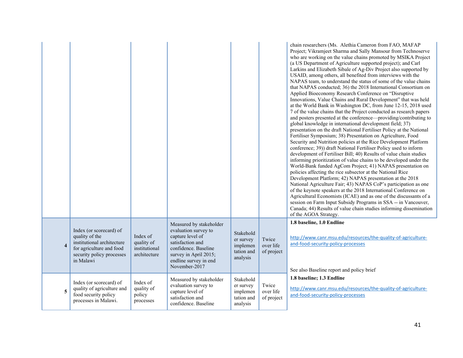|                         |                                                                                                                                               |                                                         |                                                                                                                                                                                    |                                                              |                                  | chain researchers (Ms. Alethia Cameron from FAO, MAFAP<br>Project; Vikramjeet Sharma and Sally Mansour from Technoserve<br>who are working on the value chains promoted by MSIKA Project<br>(a US Department of Agriculture supported project); and Carl<br>Larkins and Elizabeth Sibale of Ag-Div Project also supported by<br>USAID, among others, all benefited from interviews with the<br>NAPAS team, to understand the status of some of the value chains<br>that NAPAS conducted; 36) the 2018 International Consortium on<br>Applied Bioeconomy Research Conference on "Disruptive<br>Innovations, Value Chains and Rural Development" that was held<br>at the World Bank in Washington DC, from June 12-15, 2018 used<br>7 of the value chains that the Project conducted as research papers<br>and posters presented at the conference—providing/contributing to<br>global knowledge in international development field; 37)<br>presentation on the draft National Fertiliser Policy at the National<br>Fertiliser Symposium; 38) Presentation on Agriculture, Food<br>Security and Nutrition policies at the Rice Development Platform<br>conference; 39)) draft National Fertiliser Policy used to inform<br>development of Fertiliser Bill; 40) Results of value chain studies<br>informing prioritization of value chains to be developed under the<br>World-Bank funded AgCom Project; 41) NAPAS presentation on<br>policies affecting the rice subsector at the National Rice<br>Development Platform; 42) NAPAS presentation at the 2018<br>National Agriculture Fair; 43) NAPAS CoP's participation as one<br>of the keynote speakers at the 2018 International Conference on<br>Agricultural Economists (ICAE) and as one of the discussants of a<br>session on Farm Input Subsidy Programs in SSA -- in Vancouver,<br>Canada; 44) Results of value chain studies informing dissemination<br>of the AGOA Strategy. |
|-------------------------|-----------------------------------------------------------------------------------------------------------------------------------------------|---------------------------------------------------------|------------------------------------------------------------------------------------------------------------------------------------------------------------------------------------|--------------------------------------------------------------|----------------------------------|---------------------------------------------------------------------------------------------------------------------------------------------------------------------------------------------------------------------------------------------------------------------------------------------------------------------------------------------------------------------------------------------------------------------------------------------------------------------------------------------------------------------------------------------------------------------------------------------------------------------------------------------------------------------------------------------------------------------------------------------------------------------------------------------------------------------------------------------------------------------------------------------------------------------------------------------------------------------------------------------------------------------------------------------------------------------------------------------------------------------------------------------------------------------------------------------------------------------------------------------------------------------------------------------------------------------------------------------------------------------------------------------------------------------------------------------------------------------------------------------------------------------------------------------------------------------------------------------------------------------------------------------------------------------------------------------------------------------------------------------------------------------------------------------------------------------------------------------------------------------------------------------------------------------------------------|
| $\overline{\mathbf{4}}$ | Index (or scorecard) of<br>quality of the<br>institutional architecture<br>for agriculture and food<br>security policy processes<br>in Malawi | Index of<br>quality of<br>institutional<br>architecture | Measured by stakeholder<br>evaluation survey to<br>capture level of<br>satisfaction and<br>confidence. Baseline<br>survey in April 2015;<br>endline survey in end<br>November-2017 | Stakehold<br>er survey<br>implemen<br>tation and<br>analysis | Twice<br>over life<br>of project | 1.8 baseline, 1.0 Endline<br>http://www.canr.msu.edu/resources/the-quality-of-agriculture-<br>and-food-security-policy-processes<br>See also Baseline report and policy brief                                                                                                                                                                                                                                                                                                                                                                                                                                                                                                                                                                                                                                                                                                                                                                                                                                                                                                                                                                                                                                                                                                                                                                                                                                                                                                                                                                                                                                                                                                                                                                                                                                                                                                                                                         |
| 5                       | Index (or scorecard) of<br>quality of agriculture and<br>food security policy<br>processes in Malawi.                                         | Index of<br>quality of<br>policy<br>processes           | Measured by stakeholder<br>evaluation survey to<br>capture level of<br>satisfaction and<br>confidence. Baseline                                                                    | Stakehold<br>er survey<br>implemen<br>tation and<br>analysis | Twice<br>over life<br>of project | 1.8 baseline; 1.3 Endline<br>http://www.canr.msu.edu/resources/the-quality-of-agriculture-<br>and-food-security-policy-processes                                                                                                                                                                                                                                                                                                                                                                                                                                                                                                                                                                                                                                                                                                                                                                                                                                                                                                                                                                                                                                                                                                                                                                                                                                                                                                                                                                                                                                                                                                                                                                                                                                                                                                                                                                                                      |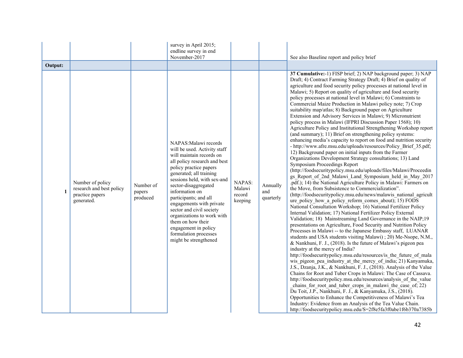|         |                                                                               |                                 | survey in April 2015;<br>endline survey in end<br>November-2017                                                                                                                                                                                                                                                                                                                                                                                               |                                       |                              | See also Baseline report and policy brief                                                                                                                                                                                                                                                                                                                                                                                                                                                                                                                                                                                                                                                                                                                                                                                                                                                                                                                                                                                                                                                                                                                                                                                                                                                                                                                                                                                                                                                                                                                                                                                                                                                                                                                                                                                                                                                                                                                                                                                                                                                                                                                                                                                                                                                                                                                                                                                                                                                                                                                                                                                              |
|---------|-------------------------------------------------------------------------------|---------------------------------|---------------------------------------------------------------------------------------------------------------------------------------------------------------------------------------------------------------------------------------------------------------------------------------------------------------------------------------------------------------------------------------------------------------------------------------------------------------|---------------------------------------|------------------------------|----------------------------------------------------------------------------------------------------------------------------------------------------------------------------------------------------------------------------------------------------------------------------------------------------------------------------------------------------------------------------------------------------------------------------------------------------------------------------------------------------------------------------------------------------------------------------------------------------------------------------------------------------------------------------------------------------------------------------------------------------------------------------------------------------------------------------------------------------------------------------------------------------------------------------------------------------------------------------------------------------------------------------------------------------------------------------------------------------------------------------------------------------------------------------------------------------------------------------------------------------------------------------------------------------------------------------------------------------------------------------------------------------------------------------------------------------------------------------------------------------------------------------------------------------------------------------------------------------------------------------------------------------------------------------------------------------------------------------------------------------------------------------------------------------------------------------------------------------------------------------------------------------------------------------------------------------------------------------------------------------------------------------------------------------------------------------------------------------------------------------------------------------------------------------------------------------------------------------------------------------------------------------------------------------------------------------------------------------------------------------------------------------------------------------------------------------------------------------------------------------------------------------------------------------------------------------------------------------------------------------------------|
| Output: |                                                                               |                                 |                                                                                                                                                                                                                                                                                                                                                                                                                                                               |                                       |                              |                                                                                                                                                                                                                                                                                                                                                                                                                                                                                                                                                                                                                                                                                                                                                                                                                                                                                                                                                                                                                                                                                                                                                                                                                                                                                                                                                                                                                                                                                                                                                                                                                                                                                                                                                                                                                                                                                                                                                                                                                                                                                                                                                                                                                                                                                                                                                                                                                                                                                                                                                                                                                                        |
| 1       | Number of policy<br>research and best policy<br>practice papers<br>generated. | Number of<br>papers<br>produced | NAPAS: Malawi records<br>will be used. Activity staff<br>will maintain records on<br>all policy research and best<br>policy practice papers<br>generated; all training<br>sessions held, with sex-and<br>sector-disaggregated<br>information on<br>participants; and all<br>engagements with private<br>sector and civil society<br>organizations to work with<br>them on how their<br>engagement in policy<br>formulation processes<br>might be strengthened | NAPAS:<br>Malawi<br>record<br>keeping | Annually<br>and<br>quarterly | 37 Cumulative:-1) FISP brief; 2) NAP background paper; 3) NAP<br>Draft; 4) Contract Farming Strategy Draft; 4) Brief on quality of<br>agriculture and food security policy processes at national level in<br>Malawi; 5) Report on quality of agriculture and food security<br>policy processes at national level in Malawi; 6) Constraints to<br>Commercial Maize Production in Malawi policy note; 7) Crop<br>suitability map/atlas; 8) Background paper on Agriculture<br>Extension and Advisory Services in Malawi; 9) Micronutrient<br>policy process in Malawi (IFPRI Discussion Paper 1568); 10)<br>Agriculture Policy and Institutional Strengthening Workshop report<br>(and summary); 11) Brief on strengthening policy systems:<br>enhancing media's capacity to report on food and nutrition security<br>- http://www.afre.msu.edu/uploads/resources/Policy Brief 35.pdf;<br>12) Background paper on initial inputs from the Farmer<br>Organizations Development Strategy consultations; 13) Land<br>Symposium Proceedings Report<br>(http://foodsecuritypolicy.msu.edu/uploads/files/Malawi/Proceedin<br>gs Report of 2nd Malawi Land Symposium held in May 2017<br>.pdf.); 14) the National Agriculture Policy in Malawi: Farmers on<br>the Move, from Subsistence to Commercialization".<br>(http://foodsecuritypolicy.msu.edu/news/malawis national agricult<br>ure policy how a policy reform comes about); 15) FODS<br>National Consultation Workshop; 16) National Fertilizer Policy<br>Internal Validation; 17) National Fertilizer Policy External<br>Validation; 18) Mainstreaming Land Governance in the NAIP;19<br>presentations on Agriculture, Food Security and Nutrition Policy<br>Processes in Malawi -- to the Japanese Embassy staff, LUANAR<br>students and USA students visiting Malawi); 20) Me-Nsope, N.M.,<br>& Nankhuni, F. J., (2018). Is the future of Malawi's pigeon pea<br>industry at the mercy of India?<br>http://foodsecuritypolicy.msu.edu/resources/is the future of mala<br>wis pigeon pea industry at the mercy of india; 21) Kanyamuka,<br>J.S., Dzanja, J.K., & Nankhuni, F. J., (2018). Analysis of the Value<br>Chains for Root and Tuber Crops in Malawi: The Case of Cassava.<br>http://foodsecuritypolicy.msu.edu/resources/analysis of the value<br>chains for root and tuber crops in malawi the case of; 22)<br>Du Toit, J.P., Nankhuni, F. J., & Kanyamuka, J.S., (2018).<br>Opportunities to Enhance the Competitiveness of Malawi's Tea<br>Industry: Evidence from an Analysis of the Tea Value Chain.<br>http://foodsecuritypolicy.msu.edu/S=2f8e5fa3f0abe1f6b370a7385b |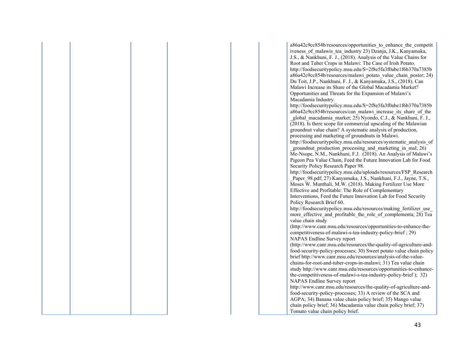a86a42c9cc854b/resources/opportunities to enhance the competit iveness of malawis tea industry 23) Dzanja, J.K., Kanyamuka, J.S., & Nankhuni, F. J., (2018). Analysis of the Value Chains for Root and Tuber Crops in Malawi: The Case of Irish Potato. http://foodsecuritypolicy.msu.edu/S=2f8e5fa3f0abe1f6b370a7385b a86a42c9cc854b/resources/malawi\_potato\_value\_chain\_poster; 24) Du Toit, J.P., Nankhuni, F. J., & Kanyamuka, J.S., (2018). Can Malawi Increase its Share of the Global Macadamia Market? Opportunities and Threats for the Expansion of Malawi's Macadamia Industry.

http://foodsecuritypolicy.msu.edu/S=2f8e5fa3f0abe1f6b370a7385b a86a42c9cc854b/resources/can\_malawi\_increase\_its\_share\_of\_the \_global\_macadamia\_market; 25) Nyondo, C.J., & Nankhuni, F. J., (2018). Is there scope for commercial upscaling of the Malawian groundnut value chain? A systematic analysis of production, processing and marketing of groundnuts in Malawi.

http://foodsecuritypolicy.msu.edu/resources/systematic\_analysis\_of groundnut production processing and marketing in mal; 26) Me-Nsope, N.M., Nankhuni, F.J. (2018). An Analysis of Malawi's Pigeon Pea Value Chain, Feed the Future Innovation Lab for Food Security Policy Research Paper 98.

http://foodsecuritypolicy.msu.edu/uploads/resources/FSP\_Research Paper 98.pdf; 27) Kanyamuka, J.S., Nankhuni, F.J., Jayne, T.S., Moses W. Munthali, M.W. (2018). Making Fertilizer Use More Effective and Profitable: The Role of Complementary Interventions, Feed the Future Innovation Lab for Food Security Policy Research Brief 60.

http://foodsecuritypolicy.msu.edu/resources/making fertilizer use more effective and profitable the role of complementa; 28) Tea value chain study

(http://www.canr.msu.edu/resources/opportunities-to-enhance-thecompetitiveness-of-malawi-s-tea-industry-policy-brief ; 29) NAPAS Endline Survey report

(http://www.canr.msu.edu/resources/the-quality-of-agriculture-andfood-security-policy-processes; 30) Sweet potato value chain policy brief http://www.canr.msu.edu/resources/analysis-of-the-valuechains-for-root-and-tuber-crops-in-malawi; 31) Tea value chain study http://www.canr.msu.edu/resources/opportunities-to-enhancethe-competitiveness-of-malawi-s-tea-industry-policy-brief ); 32) NAPAS Endline Survey report

http://www.canr.msu.edu/resources/the-quality-of-agriculture-andfood-security-policy-processes; 33) A review of the SCA and AGPA; 34) Banana value chain policy brief; 35) Mango value chain policy brief; 36) Macadamia value chain policy brief; 37) Tomato value chain policy brief.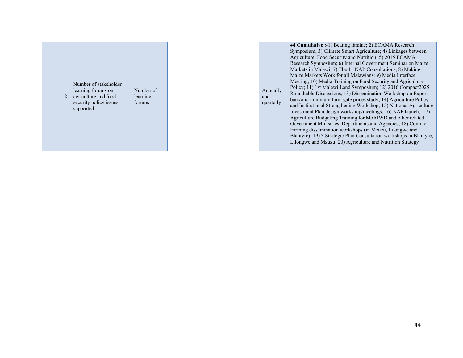| $\overline{2}$ | Number of stakeholder<br>learning forums on<br>agriculture and food<br>security policy issues<br>supported. | Number of<br>learning<br>forums |
|----------------|-------------------------------------------------------------------------------------------------------------|---------------------------------|
|----------------|-------------------------------------------------------------------------------------------------------------|---------------------------------|

Annually and quarterly **44 Cumulative :**-1) Beating famine; 2) ECAMA Research Symposium; 3) Climate Smart Agriculture; 4) Linkages between Agriculture, Food Security and Nutrition; 5) 2015 ECAMA Research Symposium; 6) Internal Government Seminar on Maize Markets in Malawi; 7) The 11 NAP Consultations; 8) Making Maize Markets Work for all Malawians; 9) Media Interface Meeting; 10) Media Training on Food Security and Agriculture Policy; 11) 1st Malawi Land Symposium; 12) 2016 Compact2025 Roundtable Discussions; 13) Dissemination Workshop on Export bans and minimum farm gate prices study; 14) Agriculture Policy and Institutional Strengthening Workshop; 15) National Agriculture Investment Plan design workshop/meetings; 16) NAP launch; 17) Agriculture Budgeting Training for MoAIWD and other related Government Ministries, Departments and Agencies; 18) Contract Farming dissemination workshops (in Mzuzu, Lilongwe and Blantyre); 19) 3 Strategic Plan Consultation workshops in Blantyre, Lilongwe and Mzuzu; 20) Agriculture and Nutrition Strategy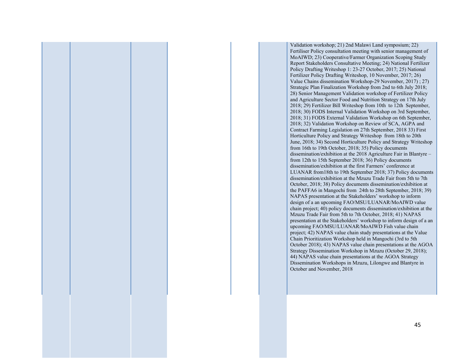Validation workshop; 21) 2nd Malawi Land symposium; 22) Fertiliser Policy consultation meeting with senior management of MoAIWD; 23) Cooperative/Farmer Organization Scoping Study Report Stakeholders Consultative Meeting; 24) National Fertilizer Policy Drafting Writeshop 1: 23-27 October, 2017; 25) National Fertilizer Policy Drafting Writeshop, 10 November, 2017; 26) Value Chains dissemination Workshop-29 November, 2017) ; 27) Strategic Plan Finalization Workshop from 2nd to 6th July 2018; 28) Senior Management Validation workshop of Fertilizer Policy and Agriculture Sector Food and Nutrition Strategy on 17th July 2018; 29) Fertilizer Bill Writeshop from 10th to 12th September, 2018; 30) FODS Internal Validation Workshop on 3rd September, 2018; 31) FODS External Validation Workshop on 6th September, 2018; 32) Validation Workshop on Review of SCA, AGPA and Contract Farming Legislation on 27th September, 2018 33) First Horticulture Policy and Strategy Writeshop from 18th to 20th June, 2018; 34) Second Horticulture Policy and Strategy Writeshop from 16th to 19th October, 2018; 35) Policy documents dissemination/exhibition at the 2018 Agriculture Fair in Blantyre – from 12th to 15th September 2018; 36) Policy documents dissemination/exhibition at the first Farmers' conference at LUANAR from18th to 19th September 2018; 37) Policy documents dissemination/exhibition at the Mzuzu Trade Fair from 5th to 7th October, 2018; 38) Policy documents dissemination/exhibition at the PAFFA6 in Mangochi from 24th to 28th September, 2018; 39) NAPAS presentation at the Stakeholders' workshop to inform design of a an upcoming FAO/MSU/LUANAR/MoAIWD value chain project; 40) policy documents dissemination/exhibition at the Mzuzu Trade Fair from 5th to 7th October, 2018; 41) NAPAS presentation at the Stakeholders' workshop to inform design of a an upcoming FAO/MSU/LUANAR/MoAIWD Fish value chain project; 42) NAPAS value chain study presentations at the Value Chain Prioritization Workshop held in Mangochi (3rd to 5th October 2018); 43) NAPAS value chain presentations at the AGOA Strategy Dissemination Workshop in Mzuzu (October 29, 2018); 44) NAPAS value chain presentations at the AGOA Strategy Dissemination Workshops in Mzuzu, Lilongwe and Blantyre in October and November, 2018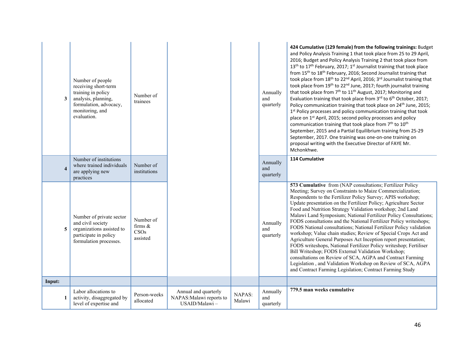| 3                       | Number of people<br>receiving short-term<br>training in policy<br>analysis, planning,<br>formulation, advocacy,<br>monitoring, and<br>evaluation. | Number of<br>trainees                       |                                                                   |                         | Annually<br>and<br>quarterly | 424 Cumulative (129 female) from the following trainings: Budget<br>and Policy Analysis Training 1 that took place from 25 to 29 April,<br>2016; Budget and Policy Analysis Training 2 that took place from<br>13 <sup>th</sup> to 17 <sup>th</sup> February, 2017; 1 <sup>st</sup> Journalist training that took place<br>from 15 <sup>th</sup> to 18 <sup>th</sup> February, 2016; Second Journalist training that<br>took place from 18 <sup>th</sup> to 22 <sup>nd</sup> April, 2016; 3 <sup>rd</sup> Journalist training that<br>took place from 19 <sup>th</sup> to 22 <sup>nd</sup> June, 2017; fourth journalist training<br>that took place from 7 <sup>th</sup> to 11 <sup>th</sup> August, 2017; Monitoring and<br>Evaluation training that took place from 3rd to 6 <sup>th</sup> October, 2017;<br>Policy communication training that took place on 24 <sup>th</sup> June, 2015;<br>1st Policy processes and policy communication training that took<br>place on 1 <sup>st</sup> April, 2015; second policy processes and policy<br>communication training that took place from 7 <sup>th</sup> to 10 <sup>th</sup><br>September, 2015 and a Partial Equilibrium training from 25-29<br>September, 2017. One training was one-on-one training on<br>proposal writing with the Executive Director of FAYE Mr.<br>Mchonkhwe. |
|-------------------------|---------------------------------------------------------------------------------------------------------------------------------------------------|---------------------------------------------|-------------------------------------------------------------------|-------------------------|------------------------------|-----------------------------------------------------------------------------------------------------------------------------------------------------------------------------------------------------------------------------------------------------------------------------------------------------------------------------------------------------------------------------------------------------------------------------------------------------------------------------------------------------------------------------------------------------------------------------------------------------------------------------------------------------------------------------------------------------------------------------------------------------------------------------------------------------------------------------------------------------------------------------------------------------------------------------------------------------------------------------------------------------------------------------------------------------------------------------------------------------------------------------------------------------------------------------------------------------------------------------------------------------------------------------------------------------------------------------------------|
| $\overline{\mathbf{4}}$ | Number of institutions<br>where trained individuals<br>are applying new<br>practices                                                              | Number of<br>institutions                   |                                                                   |                         | Annually<br>and<br>quarterly | 114 Cumulative                                                                                                                                                                                                                                                                                                                                                                                                                                                                                                                                                                                                                                                                                                                                                                                                                                                                                                                                                                                                                                                                                                                                                                                                                                                                                                                          |
| 5                       | Number of private sector<br>and civil society<br>organizations assisted to<br>participate in policy<br>formulation processes.                     | Number of<br>firms $\&$<br>CSOs<br>assisted |                                                                   |                         | Annually<br>and<br>quarterly | 573 Cumulative from (NAP consultations; Fertilizer Policy<br>Meeting; Survey on Constraints to Maize Commercialization;<br>Respondents to the Fertilizer Policy Survey; APIS workshop;<br>Update presentation on the Fertilizer Policy; Agriculture Sector<br>Food and Nutrition Strategy Validation workshop; 2nd Land<br>Malawi Land Symposium; National Fertilizer Policy Consultations;<br>FODS consultations and the National Fertilizer Policy writeshops;<br>FODS National consultations; National Fertilizer Policy validation<br>workshop; Value chain studies; Review of Special Crops Act and<br>Agriculture General Purposes Act Inception report presentation;<br>FODS writeshops, National Fertilizer Policy writeshop; Fertiliser<br>Bill Writeshop; FODS External Validation Workshop;<br>consultations on Review of SCA, AGPA and Contract Farming<br>Legislation, and Validation Workshop on Review of SCA, AGPA<br>and Contract Farming Legislation; Contract Farming Study                                                                                                                                                                                                                                                                                                                                          |
| Input:                  |                                                                                                                                                   |                                             |                                                                   |                         |                              |                                                                                                                                                                                                                                                                                                                                                                                                                                                                                                                                                                                                                                                                                                                                                                                                                                                                                                                                                                                                                                                                                                                                                                                                                                                                                                                                         |
| 1                       | Labor allocations to<br>activity, disaggregated by<br>level of expertise and                                                                      | Person-weeks<br>allocated                   | Annual and quarterly<br>NAPAS: Malawi reports to<br>USAID/Malawi- | <b>NAPAS:</b><br>Malawi | Annually<br>and<br>quarterly | 779.5 man weeks cumulative                                                                                                                                                                                                                                                                                                                                                                                                                                                                                                                                                                                                                                                                                                                                                                                                                                                                                                                                                                                                                                                                                                                                                                                                                                                                                                              |